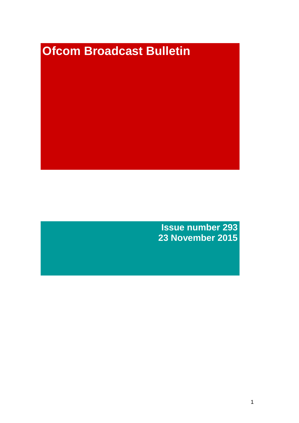# **Ofcom Broadcast Bulletin**

**Issue number 293 23 November 2015**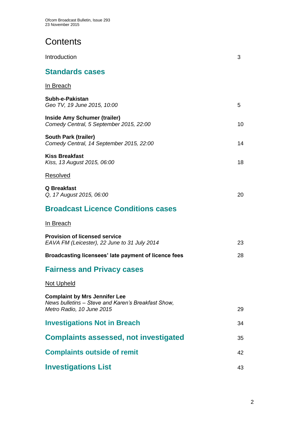# **Contents**

| Introduction                                                                                                            | 3  |
|-------------------------------------------------------------------------------------------------------------------------|----|
| <b>Standards cases</b>                                                                                                  |    |
| <u>In Breach</u>                                                                                                        |    |
| Subh-e-Pakistan<br>Geo TV, 19 June 2015, 10:00                                                                          | 5  |
| <b>Inside Amy Schumer (trailer)</b><br>Comedy Central, 5 September 2015, 22:00                                          | 10 |
| <b>South Park (trailer)</b><br>Comedy Central, 14 September 2015, 22:00                                                 | 14 |
| <b>Kiss Breakfast</b><br>Kiss, 13 August 2015, 06:00                                                                    | 18 |
| <u>Resolved</u>                                                                                                         |    |
| Q Breakfast<br>Q, 17 August 2015, 06:00                                                                                 | 20 |
| <b>Broadcast Licence Conditions cases</b>                                                                               |    |
| In Breach                                                                                                               |    |
| <b>Provision of licensed service</b><br>EAVA FM (Leicester), 22 June to 31 July 2014                                    | 23 |
| Broadcasting licensees' late payment of licence fees                                                                    | 28 |
| <b>Fairness and Privacy cases</b>                                                                                       |    |
| Not Upheld                                                                                                              |    |
| <b>Complaint by Mrs Jennifer Lee</b><br>News bulletins – Steve and Karen's Breakfast Show,<br>Metro Radio, 10 June 2015 | 29 |
| <b>Investigations Not in Breach</b>                                                                                     | 34 |
| <b>Complaints assessed, not investigated</b>                                                                            | 35 |
| <b>Complaints outside of remit</b>                                                                                      | 42 |
| <b>Investigations List</b>                                                                                              | 43 |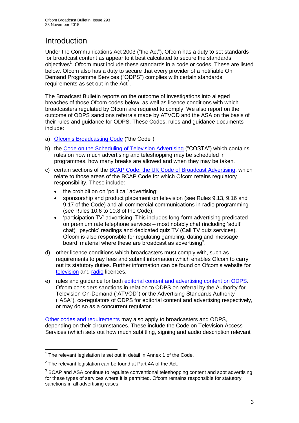# Introduction

Under the Communications Act 2003 ("the Act"), Ofcom has a duty to set standards for broadcast content as appear to it best calculated to secure the standards objectives<sup>1</sup>. Ofcom must include these standards in a code or codes. These are listed below. Ofcom also has a duty to secure that every provider of a notifiable On Demand Programme Services ("ODPS") complies with certain standards requirements as set out in the  $Act<sup>2</sup>$ .

The Broadcast Bulletin reports on the outcome of investigations into alleged breaches of those Ofcom codes below, as well as licence conditions with which broadcasters regulated by Ofcom are required to comply. We also report on the outcome of ODPS sanctions referrals made by ATVOD and the ASA on the basis of their rules and guidance for ODPS. These Codes, rules and guidance documents include:

- a) [Ofcom's Broadcasting Code](http://stakeholders.ofcom.org.uk/broadcasting/broadcast-codes/broadcast-code/) ("the Code").
- b) the [Code on the Scheduling of Television Advertising](http://stakeholders.ofcom.org.uk/broadcasting/broadcast-codes/advert-code/) ("COSTA") which contains rules on how much advertising and teleshopping may be scheduled in programmes, how many breaks are allowed and when they may be taken.
- c) certain sections of the [BCAP Code: the UK Code of Broadcast Advertising,](https://www.cap.org.uk/Advertising-Codes/Broadcast.aspx) which relate to those areas of the BCAP Code for which Ofcom retains regulatory responsibility. These include:
	- the prohibition on 'political' advertising:
	- sponsorship and product placement on television (see Rules 9.13, 9.16 and 9.17 of the Code) and all commercial communications in radio programming (see Rules 10.6 to 10.8 of the Code);
	- 'participation TV' advertising. This includes long-form advertising predicated on premium rate telephone services – most notably chat (including 'adult' chat), 'psychic' readings and dedicated quiz TV (Call TV quiz services). Ofcom is also responsible for regulating gambling, dating and 'message board' material where these are broadcast as advertising<sup>3</sup>.
- d) other licence conditions which broadcasters must comply with, such as requirements to pay fees and submit information which enables Ofcom to carry out its statutory duties. Further information can be found on Ofcom's website for [television](http://licensing.ofcom.org.uk/tv-broadcast-licences/) and [radio](http://licensing.ofcom.org.uk/radio-broadcast-licensing/) licences.
- e) rules and guidance for both [editorial content and advertising content on ODPS.](http://www.atvod.co.uk/uploads/files/ATVOD_Rules_and_Guidance_Ed_2.0_May_2012.pdf) Ofcom considers sanctions in relation to ODPS on referral by the Authority for Television On-Demand ("ATVOD") or the Advertising Standards Authority ("ASA"), co-regulators of ODPS for editorial content and advertising respectively, or may do so as a concurrent regulator.

[Other codes and requirements](http://stakeholders.ofcom.org.uk/broadcasting/broadcast-codes/) may also apply to broadcasters and ODPS, depending on their circumstances. These include the Code on Television Access Services (which sets out how much subtitling, signing and audio description relevant

<sup>1</sup>  $1$  The relevant legislation is set out in detail in Annex 1 of the Code.

 $2$  The relevant legislation can be found at Part 4A of the Act.

 $3$  BCAP and ASA continue to regulate conventional teleshopping content and spot advertising for these types of services where it is permitted. Ofcom remains responsible for statutory sanctions in all advertising cases.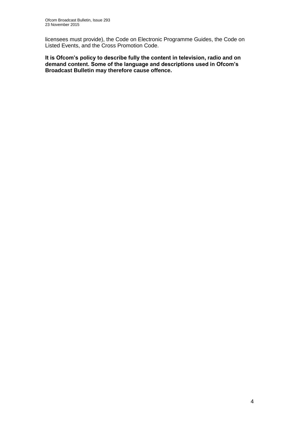licensees must provide), the Code on Electronic Programme Guides, the Code on Listed Events, and the Cross Promotion Code.

**It is Ofcom's policy to describe fully the content in television, radio and on demand content. Some of the language and descriptions used in Ofcom's Broadcast Bulletin may therefore cause offence.**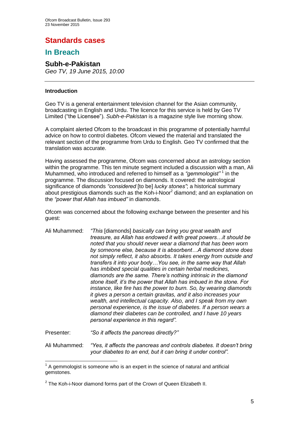# **Standards cases**

# **In Breach**

# **Subh-e-Pakistan**

*Geo TV, 19 June 2015, 10:00*

# **Introduction**

Geo TV is a general entertainment television channel for the Asian community, broadcasting in English and Urdu. The licence for this service is held by Geo TV Limited ("the Licensee"). *Subh-e-Pakistan* is a magazine style live morning show.

A complaint alerted Ofcom to the broadcast in this programme of potentially harmful advice on how to control diabetes. Ofcom viewed the material and translated the relevant section of the programme from Urdu to English. Geo TV confirmed that the translation was accurate.

Having assessed the programme, Ofcom was concerned about an astrology section within the programme. This ten minute segment included a discussion with a man, Ali Muhammed, who introduced and referred to himself as a "gemmologist"<sup>1</sup> in the programme. The discussion focused on diamonds. It covered: the astrological significance of diamonds *"considered* [to be] *lucky stones"*; a historical summary about prestigious diamonds such as the Koh-i-Noor $^2$  diamond; and an explanation on the *"power that Allah has imbued"* in diamonds.

Ofcom was concerned about the following exchange between the presenter and his guest:

Ali Muhammed: *"This* [diamonds] *basically can bring you great wealth and treasure, as Allah has endowed it with great powers…it should be noted that you should never wear a diamond that has been worn by someone else, because it is absorbent…A diamond stone does not simply reflect, it also absorbs. It takes energy from outside and transfers it into your body…You see, in the same way that Allah has imbibed special qualities in certain herbal medicines, diamonds are the same. There's nothing intrinsic in the diamond stone itself, it's the power that Allah has imbued in the stone. For instance, like fire has the power to burn. So, by wearing diamonds it gives a person a certain gravitas, and it also increases your wealth, and intellectual capacity. Also, and I speak from my own personal experience, is the issue of diabetes. If a person wears a diamond their diabetes can be controlled, and I have 10 years personal experience in this regard".*

Presenter: *"So it affects the pancreas directly?"*

Ali Muhammed: *"Yes, it affects the pancreas and controls diabetes. It doesn't bring your diabetes to an end, but it can bring it under control".*

<sup>1</sup>  $1$  A gemmologist is someone who is an expert in the science of natural and artificial gemstones.

 $2$  The Koh-i-Noor diamond forms part of the Crown of Queen Elizabeth II.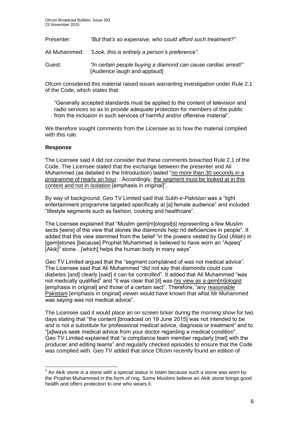| Presenter: | "But that's so expensive, who could afford such treatment?"                                    |
|------------|------------------------------------------------------------------------------------------------|
|            | Ali Muhammed: "Look, this is entirely a person's preference".                                  |
| Guest:     | "In certain people buying a diamond can cause cardiac arrest!"<br>[Audience laugh and applaud] |

Ofcom considered this material raised issues warranting investigation under Rule 2.1 of the Code, which states that:

"Generally accepted standards must be applied to the content of television and radio services so as to provide adequate protection for members of the public from the inclusion in such services of harmful and/or offensive material".

We therefore sought comments from the Licensee as to how the material complied with this rule.

# **Response**

1

The Licensee said it did not consider that these comments breached Rule 2.1 of the Code. The Licensee stated that the exchange between the presenter and Ali Muhammed (as detailed in the Introduction) lasted "no more than 30 seconds in a programme of nearly an hour…Accordingly, the segment must be looked at in this context and not in isolation [emphasis in original]".

By way of background, Geo TV Limited said that *Subh-e-Pakistan* was a "light entertainment programme targeted specifically at [a] female audience" and included "lifestyle segments such as fashion, cooking and healthcare".

The Licensee explained that "Muslim gem[m]ologist[s] representing a few Muslim sects [were] of the view that stones like diamonds help rid deficiencies in people". It added that this view stemmed from the belief "in the powers vested by God (Allah) in [gem]stones [because] Prophet Muhammed is believed to have worn an "Aqeeq" [Akik]<sup>3</sup> stone...[which] helps the human body in many ways".

Geo TV Limited argued that the "segment complained of was not medical advice". The Licensee said that Ali Muhammed "did not say that diamonds could cure diabetes [and] clearly [said] it can be controlled". It added that Ali Muhammed "was not medically qualified" and "it was clear that [it] was his view as a gem[m]ologist [emphasis in original] and those of a certain sect". Therefore, "any reasonable Pakistani [emphasis in original] viewer would have known that what Mr Muhammed was saying was not medical advice".

The Licensee said it would place an on screen ticker during the morning show for two days stating that "the content [broadcast on 19 June 2015] was not intended to be and is not a substitute for professional medical advice, diagnosis or treatment" and to "[a]lways seek medical advice from your doctor regarding a medical condition". Geo TV Limited explained that "a compliance team member regularly [met] with the producer and editing teams" and regularly checked episodes to ensure that the Code was complied with. Geo TV added that since Ofcom recently found an edition of

 $3$  An Akik stone is a stone with a special status in Islam because such a stone was worn by the Prophet Muhammed in the form of ring. Some Muslims believe an Akik stone brings good health and offers protection to one who wears it.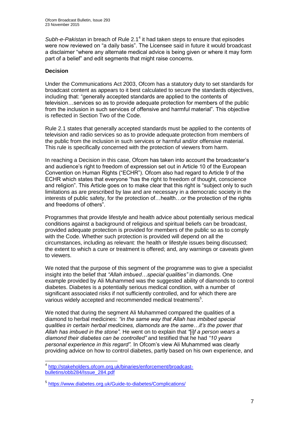Subh-e-Pakistan in breach of Rule 2.1<sup>4</sup> it had taken steps to ensure that episodes were now reviewed on "a daily basis". The Licensee said in future it would broadcast a disclaimer "where any alternate medical advice is being given or where it may form part of a belief" and edit segments that might raise concerns.

# **Decision**

1

Under the Communications Act 2003, Ofcom has a statutory duty to set standards for broadcast content as appears to it best calculated to secure the standards objectives, including that: "generally accepted standards are applied to the contents of television…services so as to provide adequate protection for members of the public from the inclusion in such services of offensive and harmful material". This objective is reflected in Section Two of the Code.

Rule 2.1 states that generally accepted standards must be applied to the contents of television and radio services so as to provide adequate protection from members of the public from the inclusion in such services or harmful and/or offensive material. This rule is specifically concerned with the protection of viewers from harm.

In reaching a Decision in this case, Ofcom has taken into account the broadcaster's and audience's right to freedom of expression set out in Article 10 of the European Convention on Human Rights ("ECHR"). Ofcom also had regard to Article 9 of the ECHR which states that everyone "has the right to freedom of thought, conscience and religion". This Article goes on to make clear that this right is "subject only to such limitations as are prescribed by law and are necessary in a democratic society in the interests of public safety, for the protection of…health…or the protection of the rights and freedoms of others".

Programmes that provide lifestyle and health advice about potentially serious medical conditions against a background of religious and spiritual beliefs can be broadcast, provided adequate protection is provided for members of the public so as to comply with the Code. Whether such protection is provided will depend on all the circumstances, including as relevant: the health or lifestyle issues being discussed; the extent to which a cure or treatment is offered; and, any warnings or caveats given to viewers.

We noted that the purpose of this segment of the programme was to give a specialist insight into the belief that *"Allah imbued…special qualities"* in diamonds. One example provided by Ali Muhammed was the suggested ability of diamonds to control diabetes. Diabetes is a potentially serious medical condition, with a number of significant associated risks if not sufficiently controlled, and for which there are various widely accepted and recommended medical treatments<sup>5</sup>.

We noted that during the segment Ali Muhammed compared the qualities of a diamond to herbal medicines: *"in the same way that Allah has imbibed special qualities in certain herbal medicines, diamonds are the same…it's the power that Allah has imbued in the stone".* He went on to explain that *"*[i]*f a person wears a diamond their diabetes can be controlled"* and testified that he had *"10 years personal experience in this regard".* In Ofcom's view Ali Muhammed was clearly providing advice on how to control diabetes, partly based on his own experience, and

<sup>4</sup> [http://stakeholders.ofcom.org.uk/binaries/enforcement/broadcast](http://stakeholders.ofcom.org.uk/binaries/enforcement/broadcast-bulletins/obb284/Issue_284.pdf)[bulletins/obb284/Issue\\_284.pdf](http://stakeholders.ofcom.org.uk/binaries/enforcement/broadcast-bulletins/obb284/Issue_284.pdf)

<sup>5</sup> <https://www.diabetes.org.uk/Guide-to-diabetes/Complications/>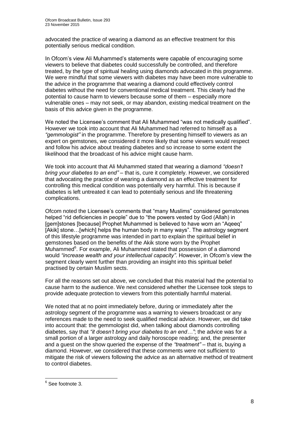advocated the practice of wearing a diamond as an effective treatment for this potentially serious medical condition.

In Ofcom's view Ali Muhammed's statements were capable of encouraging some viewers to believe that diabetes could successfully be controlled, and therefore treated, by the type of spiritual healing using diamonds advocated in this programme. We were mindful that some viewers with diabetes may have been more vulnerable to the advice in the programme that wearing a diamond could effectively control diabetes without the need for conventional medical treatment. This clearly had the potential to cause harm to viewers because some of them – especially more vulnerable ones – may not seek, or may abandon, existing medical treatment on the basis of this advice given in the programme.

We noted the Licensee's comment that Ali Muhammed "was not medically qualified". However we took into account that Ali Muhammed had referred to himself as a *"gemmologist"* in the programme. Therefore by presenting himself to viewers as an expert on gemstones, we considered it more likely that some viewers would respect and follow his advice about treating diabetes and so increase to some extent the likelihood that the broadcast of his advice might cause harm.

We took into account that Ali Muhammed stated that wearing a diamond *"doesn't bring your diabetes to an end"* – that is, cure it completely. However, we considered that advocating the practice of wearing a diamond as an effective treatment for controlling this medical condition was potentially very harmful. This is because if diabetes is left untreated it can lead to potentially serious and life threatening complications.

Ofcom noted the Licensee's comments that "many Muslims" considered gemstones helped "rid deficiencies in people" due to "the powers vested by God (Allah) in [gem]stones [because] Prophet Muhammed is believed to have worn an "Aqeeq" [Akik] stone…[which] helps the human body in many ways". The astrology segment of this lifestyle programme was intended in part to explain the spiritual belief in gemstones based on the benefits of the Akik stone worn by the Prophet Muhammed<sup>6</sup>. For example, Ali Muhammed stated that possession of a diamond would *"increase wealth and your intellectual capacity"*. However, in Ofcom's view the segment clearly went further than providing an insight into this spiritual belief practised by certain Muslim sects.

For all the reasons set out above, we concluded that this material had the potential to cause harm to the audience. We next considered whether the Licensee took steps to provide adequate protection to viewers from this potentially harmful material.

We noted that at no point immediately before, during or immediately after the astrology segment of the programme was a warning to viewers broadcast or any references made to the need to seek qualified medical advice. However, we did take into account that: the gemmologist did, when talking about diamonds controlling diabetes, say that *"it doesn't bring your diabetes to an end…"*; the advice was for a small portion of a larger astrology and daily horoscope reading; and, the presenter and a guest on the show queried the expense of the *"treatment"* – that is, buying a diamond. However, we considered that these comments were not sufficient to mitigate the risk of viewers following the advice as an alternative method of treatment to control diabetes.

 6 See footnote 3.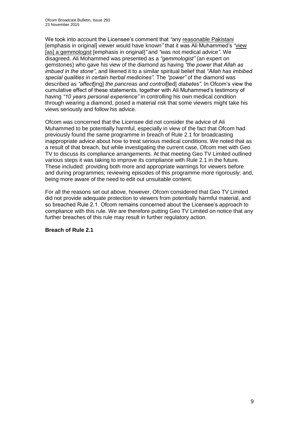We took into account the Licensee's comment that *"*any reasonable Pakistani [emphasis in original] viewer would have known*"* that it was Ali Muhammed's *"*view [as] a gemmologist [emphasis in original]*"* and *"*was not medical advice*"*. We disagreed. Ali Mohammed was presented as a *"gemmologist"* (an expert on gemstones) who gave his view of the diamond as having *"the power that Allah as imbued in the stone"*, and likened it to a similar spiritual belief that *"Allah has imbibed special qualities in certain herbal medicines"*. The *"power"* of the diamond was described as *"affect*[ing] *the pancreas and control*[led] *diabetes"*. In Ofcom's view the cumulative effect of these statements, together with Ali Muhammed's testimony of having *"10 years personal experience"* in controlling his own medical condition through wearing a diamond, posed a material risk that some viewers might take his views seriously and follow his advice.

Ofcom was concerned that the Licensee did not consider the advice of Ali Muhammed to be potentially harmful, especially in view of the fact that Ofcom had previously found the same programme in breach of Rule 2.1 for broadcasting inappropriate advice about how to treat serious medical conditions. We noted that as a result of that breach, but while investigating the current case, Ofcom met with Geo TV to discuss its compliance arrangements. At that meeting Geo TV Limited outlined various steps it was taking to improve its compliance with Rule 2.1 in the future. These included: providing both more and appropriate warnings for viewers before and during programmes; reviewing episodes of this programme more rigorously; and, being more aware of the need to edit out unsuitable content.

For all the reasons set out above, however, Ofcom considered that Geo TV Limited did not provide adequate protection to viewers from potentially harmful material, and so breached Rule 2.1. Ofcom remains concerned about the Licensee's approach to compliance with this rule. We are therefore putting Geo TV Limited on notice that any further breaches of this rule may result in further regulatory action.

## **Breach of Rule 2.1**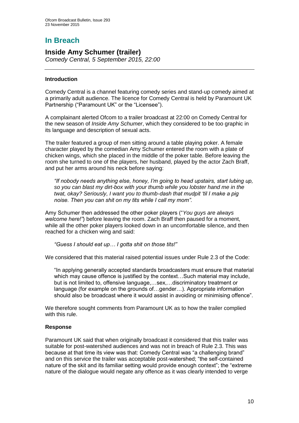# **In Breach**

# **Inside Amy Schumer (trailer)**

*Comedy Central, 5 September 2015, 22:00*

# **Introduction**

Comedy Central is a channel featuring comedy series and stand-up comedy aimed at a primarily adult audience. The licence for Comedy Central is held by Paramount UK Partnership ("Paramount UK" or the "Licensee").

A complainant alerted Ofcom to a trailer broadcast at 22:00 on Comedy Central for the new season of *Inside Amy Schumer*, which they considered to be too graphic in its language and description of sexual acts.

The trailer featured a group of men sitting around a table playing poker. A female character played by the comedian Amy Schumer entered the room with a plate of chicken wings, which she placed in the middle of the poker table. Before leaving the room she turned to one of the players, her husband, played by the actor Zach Braff, and put her arms around his neck before saying:

*"If nobody needs anything else, honey, I'm going to head upstairs, start lubing up, so you can blast my dirt-box with your thumb while you lobster hand me in the twat, okay? Seriously, I want you to thumb-dash that mudpit 'til I make a pig noise. Then you can shit on my tits while I call my mom".*

Amy Schumer then addressed the other poker players ("*You guys are always welcome here!"*) before leaving the room. Zach Braff then paused for a moment, while all the other poker players looked down in an uncomfortable silence, and then reached for a chicken wing and said:

*"Guess I should eat up… I gotta shit on those tits!"*

We considered that this material raised potential issues under Rule 2.3 of the Code:

"In applying generally accepted standards broadcasters must ensure that material which may cause offence is justified by the context…Such material may include, but is not limited to, offensive language,…sex,…discriminatory treatment or language (for example on the grounds of…gender…). Appropriate information should also be broadcast where it would assist in avoiding or minimising offence".

We therefore sought comments from Paramount UK as to how the trailer complied with this rule.

## **Response**

Paramount UK said that when originally broadcast it considered that this trailer was suitable for post-watershed audiences and was not in breach of Rule 2.3. This was because at that time its view was that: Comedy Central was "a challenging brand" and on this service the trailer was acceptable post-watershed; "the self-contained nature of the skit and its familiar setting would provide enough context"; the "extreme nature of the dialogue would negate any offence as it was clearly intended to verge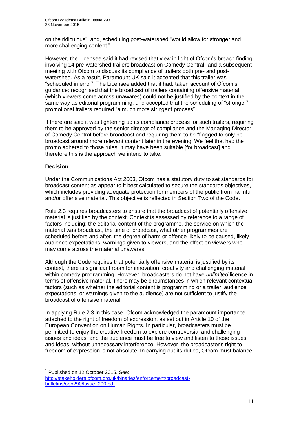on the ridiculous"; and, scheduling post-watershed "would allow for stronger and more challenging content."

However, the Licensee said it had revised that view in light of Ofcom's breach finding involving 14 pre-watershed trailers broadcast on Comedy Central<sup>1</sup> and a subsequent meeting with Ofcom to discuss its compliance of trailers both pre- and postwatershed. As a result, Paramount UK said it accepted that this trailer was "scheduled in error". The Licensee added that it had: taken account of Ofcom's guidance; recognised that the broadcast of trailers containing offensive material (which viewers come across unawares) could not be justified by the context in the same way as editorial programming; and accepted that the scheduling of "stronger" promotional trailers required "a much more stringent process".

It therefore said it was tightening up its compliance process for such trailers, requiring them to be approved by the senior director of compliance and the Managing Director of Comedy Central before broadcast and requiring them to be "flagged to only be broadcast around more relevant content later in the evening. We feel that had the promo adhered to those rules, it may have been suitable [for broadcast] and therefore this is the approach we intend to take."

# **Decision**

1

Under the Communications Act 2003, Ofcom has a statutory duty to set standards for broadcast content as appear to it best calculated to secure the standards objectives, which includes providing adequate protection for members of the public from harmful and/or offensive material. This objective is reflected in Section Two of the Code.

Rule 2.3 requires broadcasters to ensure that the broadcast of potentially offensive material is justified by the context. Context is assessed by reference to a range of factors including: the editorial content of the programme, the service on which the material was broadcast, the time of broadcast, what other programmes are scheduled before and after, the degree of harm or offence likely to be caused, likely audience expectations, warnings given to viewers, and the effect on viewers who may come across the material unawares.

Although the Code requires that potentially offensive material is justified by its context, there is significant room for innovation, creativity and challenging material within comedy programming. However, broadcasters do not have *unlimited* licence in terms of offensive material. There may be circumstances in which relevant contextual factors (such as whether the editorial content is programming or a trailer, audience expectations, or warnings given to the audience) are not sufficient to justify the broadcast of offensive material.

In applying Rule 2.3 in this case, Ofcom acknowledged the paramount importance attached to the right of freedom of expression, as set out in Article 10 of the European Convention on Human Rights. In particular, broadcasters must be permitted to enjoy the creative freedom to explore controversial and challenging issues and ideas, and the audience must be free to view and listen to those issues and ideas, without unnecessary interference. However, the broadcaster's right to freedom of expression is not absolute. In carrying out its duties, Ofcom must balance

<sup>&</sup>lt;sup>1</sup> Published on 12 October 2015. See: [http://stakeholders.ofcom.org.uk/binaries/enforcement/broadcast](http://stakeholders.ofcom.org.uk/binaries/enforcement/broadcast-bulletins/obb290/Issue_290.pdf)[bulletins/obb290/Issue\\_290.pdf](http://stakeholders.ofcom.org.uk/binaries/enforcement/broadcast-bulletins/obb290/Issue_290.pdf)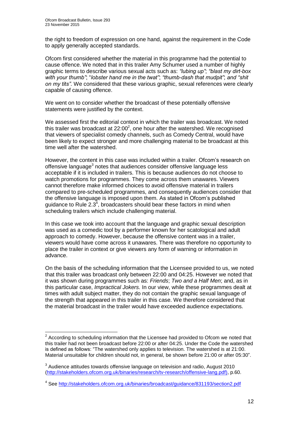the right to freedom of expression on one hand, against the requirement in the Code to apply generally accepted standards.

Ofcom first considered whether the material in this programme had the potential to cause offence. We noted that in this trailer Amy Schumer used a number of highly graphic terms to describe various sexual acts such as: *"lubing up"*; *"blast my dirt-box with your thumb"*; "*lobster hand me in the twat"*; *"thumb-dash that mudpit"*; *and "shit on my tits".* We considered that these various graphic, sexual references were clearly capable of causing offence.

We went on to consider whether the broadcast of these potentially offensive statements were justified by the context.

We assessed first the editorial context in which the trailer was broadcast. We noted this trailer was broadcast at  $22:00^2$ , one hour after the watershed. We recognised that viewers of specialist comedy channels, such as Comedy Central, would have been likely to expect stronger and more challenging material to be broadcast at this time well after the watershed.

However, the content in this case was included within a trailer. Ofcom's research on offensive language<sup>3</sup> notes that audiences consider offensive language less acceptable if it is included in trailers. This is because audiences do not choose to watch promotions for programmes. They come across them unawares. Viewers cannot therefore make informed choices to avoid offensive material in trailers compared to pre-scheduled programmes, and consequently audiences consider that the offensive language is imposed upon them. As stated in Ofcom's published guidance to Rule 2.3 $^4$ , broadcasters should bear these factors in mind when scheduling trailers which include challenging material.

In this case we took into account that the language and graphic sexual description was used as a comedic tool by a performer known for her scatological and adult approach to comedy. However, because the offensive content was in a trailer, viewers would have come across it unawares. There was therefore no opportunity to place the trailer in context or give viewers any form of warning or information in advance.

On the basis of the scheduling information that the Licensee provided to us, we noted that this trailer was broadcast only between 22:00 and 04:25. However we noted that it was shown during programmes such as: *Friends*; *Two and a Half Men*; and, as in this particular case, *Impractical Jokers.* In our view, while these programmes dealt at times with adult subject matter, they do not contain the graphic sexual language of the strength that appeared in this trailer in this case. We therefore considered that the material broadcast in the trailer would have exceeded audience expectations.

<sup>1</sup>  $2^{2}$  According to scheduling information that the Licensee had provided to Ofcom we noted that this trailer had not been broadcast before 22:00 or after 04:25. Under the Code the watershed is defined as follows: "The watershed only applies to television. The watershed is at 21:00. Material unsuitable for children should not, in general, be shown before 21:00 or after 05:30".

 $3$  Audience attitudes towards offensive language on television and radio, August 2010 [\(http://stakeholders.ofcom.org.uk/binaries/research/tv-research/offensive-lang.pdf\),](http://stakeholders.ofcom.org.uk/binaries/research/tv-research/offensive-lang.pdf)) p.60.

<sup>&</sup>lt;sup>4</sup> See<http://stakeholders.ofcom.org.uk/binaries/broadcast/guidance/831193/section2.pdf>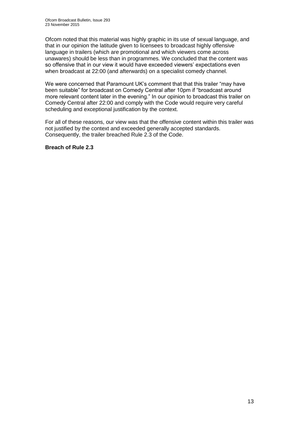Ofcom noted that this material was highly graphic in its use of sexual language, and that in our opinion the latitude given to licensees to broadcast highly offensive language in trailers (which are promotional and which viewers come across unawares) should be less than in programmes. We concluded that the content was so offensive that in our view it would have exceeded viewers' expectations even when broadcast at 22:00 (and afterwards) on a specialist comedy channel.

We were concerned that Paramount UK's comment that that this trailer "may have been suitable" for broadcast on Comedy Central after 10pm if "broadcast around more relevant content later in the evening." In our opinion to broadcast this trailer on Comedy Central after 22:00 and comply with the Code would require very careful scheduling and exceptional justification by the context.

For all of these reasons, our view was that the offensive content within this trailer was not justified by the context and exceeded generally accepted standards. Consequently, the trailer breached Rule 2.3 of the Code.

## **Breach of Rule 2.3**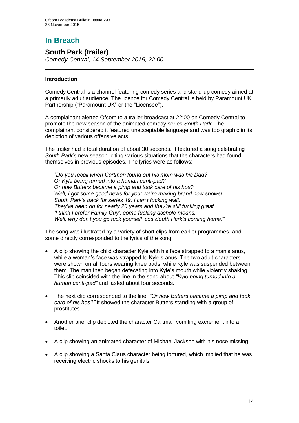# **In Breach**

# **South Park (trailer)**

*Comedy Central, 14 September 2015, 22:00*

# **Introduction**

Comedy Central is a channel featuring comedy series and stand-up comedy aimed at a primarily adult audience. The licence for Comedy Central is held by Paramount UK Partnership ("Paramount UK" or the "Licensee").

A complainant alerted Ofcom to a trailer broadcast at 22:00 on Comedy Central to promote the new season of the animated comedy series *South Park*. The complainant considered it featured unacceptable language and was too graphic in its depiction of various offensive acts.

The trailer had a total duration of about 30 seconds. It featured a song celebrating *South Park*'s new season, citing various situations that the characters had found themselves in previous episodes. The lyrics were as follows:

*"Do you recall when Cartman found out his mom was his Dad? Or Kyle being turned into a human centi-pad? Or how Butters became a pimp and took care of his hos? Well, I got some good news for you; we're making brand new shows! South Park's back for series 19, I can't fucking wait. They've been on for nearly 20 years and they're still fucking great. 'I think I prefer Family Guy', some fucking asshole moans. Well, why don't you go fuck yourself 'cos South Park's coming home!"*

The song was illustrated by a variety of short clips from earlier programmes, and some directly corresponded to the lyrics of the song:

- A clip showing the child character Kyle with his face strapped to a man's anus, while a woman's face was strapped to Kyle's anus. The two adult characters were shown on all fours wearing knee pads, while Kyle was suspended between them. The man then began defecating into Kyle's mouth while violently shaking. This clip coincided with the line in the song about *"Kyle being turned into a human centi-pad"* and lasted about four seconds.
- The next clip corresponded to the line, *"Or how Butters became a pimp and took care of his hos?"* It showed the character Butters standing with a group of prostitutes.
- Another brief clip depicted the character Cartman vomiting excrement into a toilet.
- A clip showing an animated character of Michael Jackson with his nose missing.
- A clip showing a Santa Claus character being tortured, which implied that he was receiving electric shocks to his genitals.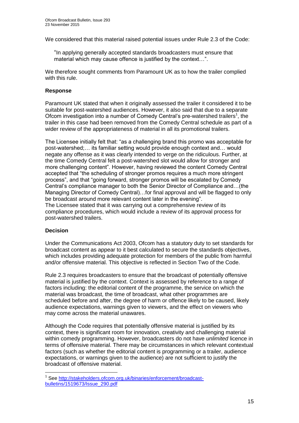We considered that this material raised potential issues under Rule 2.3 of the Code:

"In applying generally accepted standards broadcasters must ensure that material which may cause offence is justified by the context…".

We therefore sought comments from Paramount UK as to how the trailer complied with this rule.

#### **Response**

Paramount UK stated that when it originally assessed the trailer it considered it to be suitable for post-watershed audiences. However, it also said that due to a separate Ofcom investigation into a number of Comedy Central's pre-watershed trailers<sup>1</sup>, the trailer in this case had been removed from the Comedy Central schedule as part of a wider review of the appropriateness of material in all its promotional trailers.

The Licensee initially felt that: "as a challenging brand this promo was acceptable for post-watershed;… its familiar setting would provide enough context and… would negate any offense as it was clearly intended to verge on the ridiculous. Further, at the time Comedy Central felt a post-watershed slot would allow for stronger and more challenging content". However, having reviewed the content Comedy Central accepted that "the scheduling of stronger promos requires a much more stringent process", and that "going forward, stronger promos will be escalated by Comedy Central's compliance manager to both the Senior Director of Compliance and…(the Managing Director of Comedy Central)…for final approval and will be flagged to only be broadcast around more relevant content later in the evening".

The Licensee stated that it was carrying out a comprehensive review of its compliance procedures, which would include a review of its approval process for post-watershed trailers.

## **Decision**

1

Under the Communications Act 2003, Ofcom has a statutory duty to set standards for broadcast content as appear to it best calculated to secure the standards objectives, which includes providing adequate protection for members of the public from harmful and/or offensive material. This objective is reflected in Section Two of the Code.

Rule 2.3 requires broadcasters to ensure that the broadcast of potentially offensive material is justified by the context. Context is assessed by reference to a range of factors including: the editorial content of the programme, the service on which the material was broadcast, the time of broadcast, what other programmes are scheduled before and after, the degree of harm or offence likely to be caused, likely audience expectations, warnings given to viewers, and the effect on viewers who may come across the material unawares.

Although the Code requires that potentially offensive material is justified by its context, there is significant room for innovation, creativity and challenging material within comedy programming. However, broadcasters do not have *unlimited* licence in terms of offensive material. There may be circumstances in which relevant contextual factors (such as whether the editorial content is programming or a trailer, audience expectations, or warnings given to the audience) are not sufficient to justify the broadcast of offensive material.

<sup>&</sup>lt;sup>1</sup> See [http://stakeholders.ofcom.org.uk/binaries/enforcement/broadcast](http://stakeholders.ofcom.org.uk/binaries/enforcement/broadcast-bulletins/1519673/Issue_290.pdf)[bulletins/1519673/Issue\\_290.pdf](http://stakeholders.ofcom.org.uk/binaries/enforcement/broadcast-bulletins/1519673/Issue_290.pdf)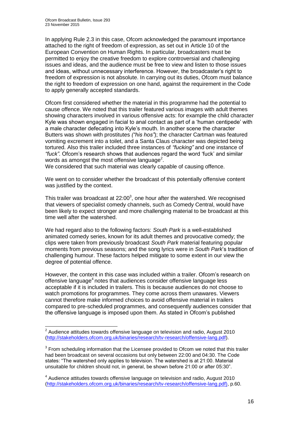In applying Rule 2.3 in this case, Ofcom acknowledged the paramount importance attached to the right of freedom of expression, as set out in Article 10 of the European Convention on Human Rights. In particular, broadcasters must be permitted to enjoy the creative freedom to explore controversial and challenging issues and ideas, and the audience must be free to view and listen to those issues and ideas, without unnecessary interference. However, the broadcaster's right to freedom of expression is not absolute. In carrying out its duties, Ofcom must balance the right to freedom of expression on one hand, against the requirement in the Code to apply generally accepted standards.

Ofcom first considered whether the material in this programme had the potential to cause offence. We noted that this trailer featured various images with adult themes showing characters involved in various offensive acts: for example the child character Kyle was shown engaged in facial to anal contact as part of a 'human centipede' with a male character defecating into Kyle's mouth. In another scene the character Butters was shown with prostitutes *("his hos"*); the character Cartman was featured vomiting excrement into a toilet, and a Santa Claus character was depicted being tortured. Also this trailer included three instances of *"fucking"* and one instance of *"fuck"*. Ofcom's research shows that audiences regard the word 'fuck' and similar words as amongst the most offensive language<sup>2</sup>.

We considered that such material was clearly capable of causing offence.

We went on to consider whether the broadcast of this potentially offensive content was justified by the context.

This trailer was broadcast at  $22:00^3$ , one hour after the watershed. We recognised that viewers of specialist comedy channels, such as Comedy Central, would have been likely to expect stronger and more challenging material to be broadcast at this time well after the watershed.

We had regard also to the following factors: *South Park* is a well-established animated comedy series, known for its adult themes and provocative comedy; the clips were taken from previously broadcast *South Park* material featuring popular moments from previous seasons; and the song lyrics were in *South Park*'s tradition of challenging humour. These factors helped mitigate to some extent in our view the degree of potential offence.

However, the content in this case was included within a trailer. Ofcom's research on offensive language<sup>4</sup> notes that audiences consider offensive language less acceptable if it is included in trailers. This is because audiences do not choose to watch promotions for programmes. They come across them unawares. Viewers cannot therefore make informed choices to avoid offensive material in trailers compared to pre-scheduled programmes, and consequently audiences consider that the offensive language is imposed upon them. As stated in Ofcom's published

 2 Audience attitudes towards offensive language on television and radio, August 2010 [\(http://stakeholders.ofcom.org.uk/binaries/research/tv-research/offensive-lang.pdf\)](http://stakeholders.ofcom.org.uk/binaries/research/tv-research/offensive-lang.pdf).

 $3$  From scheduling information that the Licensee provided to Ofcom we noted that this trailer had been broadcast on several occasions but only between 22:00 and 04:30. The Code states: "The watershed only applies to television. The watershed is at 21:00. Material unsuitable for children should not, in general, be shown before 21:00 or after 05:30".

<sup>&</sup>lt;sup>4</sup> Audience attitudes towards offensive language on television and radio, August 2010 [\(http://stakeholders.ofcom.org.uk/binaries/research/tv-research/offensive-lang.pdf\),](http://stakeholders.ofcom.org.uk/binaries/research/tv-research/offensive-lang.pdf)) p.60.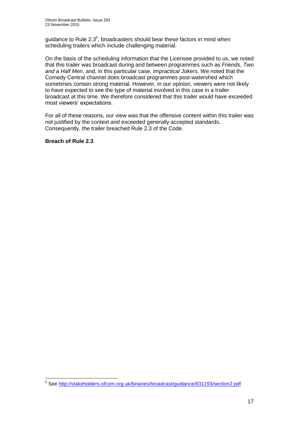guidance to Rule  $2.3<sup>5</sup>$ , broadcasters should bear these factors in mind when scheduling trailers which include challenging material.

On the basis of the scheduling information that the Licensee provided to us, we noted that this trailer was broadcast during and between programmes such as *Friends*, *Two and a Half Men*, and, in this particular case, *Impractical Jokers.* We noted that the Comedy Central channel does broadcast programmes post-watershed which sometimes contain strong material. However, in our opinion, viewers were not likely to have expected to see the type of material involved in this case in a trailer broadcast at this time. We therefore considered that this trailer would have exceeded most viewers' expectations.

For all of these reasons, our view was that the offensive content within this trailer was not justified by the context and exceeded generally accepted standards. Consequently, the trailer breached Rule 2.3 of the Code.

**Breach of Rule 2.3**

 5 See<http://stakeholders.ofcom.org.uk/binaries/broadcast/guidance/831193/section2.pdf>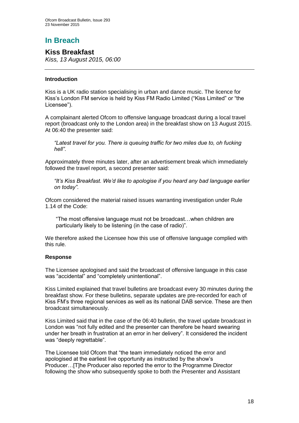# **In Breach**

# **Kiss Breakfast**

*Kiss, 13 August 2015, 06:00*

# **Introduction**

Kiss is a UK radio station specialising in urban and dance music. The licence for Kiss's London FM service is held by Kiss FM Radio Limited ("Kiss Limited" or "the Licensee").

A complainant alerted Ofcom to offensive language broadcast during a local travel report (broadcast only to the London area) in the breakfast show on 13 August 2015. At 06:40 the presenter said:

*"Latest travel for you. There is queuing traffic for two miles due to, oh fucking hell"*.

Approximately three minutes later, after an advertisement break which immediately followed the travel report, a second presenter said:

*"It's Kiss Breakfast. We'd like to apologise if you heard any bad language earlier on today"*.

Ofcom considered the material raised issues warranting investigation under Rule 1.14 of the Code:

"The most offensive language must not be broadcast…when children are particularly likely to be listening (in the case of radio)".

We therefore asked the Licensee how this use of offensive language complied with this rule.

## **Response**

The Licensee apologised and said the broadcast of offensive language in this case was "accidental" and "completely unintentional".

Kiss Limited explained that travel bulletins are broadcast every 30 minutes during the breakfast show. For these bulletins, separate updates are pre-recorded for each of Kiss FM's three regional services as well as its national DAB service. These are then broadcast simultaneously.

Kiss Limited said that in the case of the 06:40 bulletin, the travel update broadcast in London was "not fully edited and the presenter can therefore be heard swearing under her breath in frustration at an error in her delivery". It considered the incident was "deeply regrettable".

The Licensee told Ofcom that "the team immediately noticed the error and apologised at the earliest live opportunity as instructed by the show's Producer…[T]he Producer also reported the error to the Programme Director following the show who subsequently spoke to both the Presenter and Assistant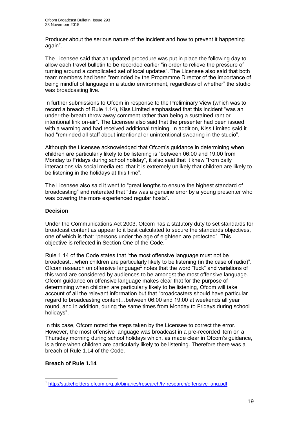Producer about the serious nature of the incident and how to prevent it happening again".

The Licensee said that an updated procedure was put in place the following day to allow each travel bulletin to be recorded earlier "in order to relieve the pressure of turning around a complicated set of local updates". The Licensee also said that both team members had been "reminded by the Programme Director of the importance of being mindful of language in a studio environment, regardless of whether" the studio was broadcasting live.

In further submissions to Ofcom in response to the Preliminary View (which was to record a breach of Rule 1.14), Kiss Limited emphasised that this incident "was an under-the-breath throw away comment rather than being a sustained rant or intentional link on-air". The Licensee also said that the presenter had been issued with a warning and had received additional training. In addition, Kiss Limited said it had "reminded all staff about intentional or unintentional swearing in the studio".

Although the Licensee acknowledged that Ofcom's guidance in determining when children are particularly likely to be listening is "between 06:00 and 19:00 from Monday to Fridays during school holiday", it also said that it knew "from daily interactions via social media etc. that it is extremely unlikely that children are likely to be listening in the holidays at this time".

The Licensee also said it went to "great lengths to ensure the highest standard of broadcasting" and reiterated that "this was a genuine error by a young presenter who was covering the more experienced regular hosts".

# **Decision**

Under the Communications Act 2003, Ofcom has a statutory duty to set standards for broadcast content as appear to it best calculated to secure the standards objectives, one of which is that: "persons under the age of eighteen are protected". This objective is reflected in Section One of the Code.

Rule 1.14 of the Code states that "the most offensive language must not be broadcast…when children are particularly likely to be listening (in the case of radio)". Ofcom research on offensive language<sup>1</sup> notes that the word "fuck" and variations of this word are considered by audiences to be amongst the most offensive language. Ofcom guidance on offensive language makes clear that for the purpose of determining when children are particularly likely to be listening, Ofcom will take account of all the relevant information but that "broadcasters should have particular regard to broadcasting content…between 06:00 and 19:00 at weekends all year round, and in addition, during the same times from Monday to Fridays during school holidays".

In this case, Ofcom noted the steps taken by the Licensee to correct the error. However, the most offensive language was broadcast in a pre-recorded item on a Thursday morning during school holidays which, as made clear in Ofcom's guidance, is a time when children are particularly likely to be listening. Therefore there was a breach of Rule 1.14 of the Code.

## **Breach of Rule 1.14**

<sup>1</sup> <sup>1</sup> <http://stakeholders.ofcom.org.uk/binaries/research/tv-research/offensive-lang.pdf>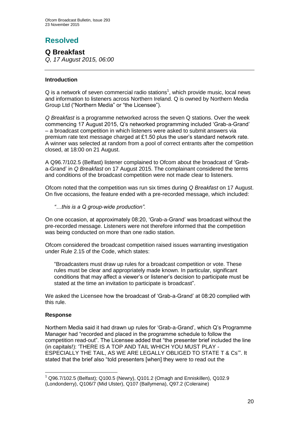# **Resolved**

# **Q Breakfast**

*Q, 17 August 2015, 06:00*

# **Introduction**

 $Q$  is a network of seven commercial radio stations<sup>1</sup>, which provide music, local news and information to listeners across Northern Ireland. Q is owned by Northern Media Group Ltd ("Northern Media" or "the Licensee").

*Q Breakfast* is a programme networked across the seven Q stations. Over the week commencing 17 August 2015, Q's networked programming included 'Grab-a-Grand' – a broadcast competition in which listeners were asked to submit answers via premium rate text message charged at £1.50 plus the user's standard network rate. A winner was selected at random from a pool of correct entrants after the competition closed, at 18:00 on 21 August.

A Q96.7/102.5 (Belfast) listener complained to Ofcom about the broadcast of 'Graba-Grand' in *Q Breakfast* on 17 August 2015. The complainant considered the terms and conditions of the broadcast competition were not made clear to listeners.

Ofcom noted that the competition was run six times during *Q Breakfast* on 17 August. On five occasions, the feature ended with a pre-recorded message, which included:

*"…this is a Q group-wide production".*

On one occasion, at approximately 08:20, 'Grab-a-Grand' was broadcast without the pre-recorded message. Listeners were not therefore informed that the competition was being conducted on more than one radio station.

Ofcom considered the broadcast competition raised issues warranting investigation under Rule 2.15 of the Code, which states:

"Broadcasters must draw up rules for a broadcast competition or vote. These rules must be clear and appropriately made known. In particular, significant conditions that may affect a viewer's or listener's decision to participate must be stated at the time an invitation to participate is broadcast".

We asked the Licensee how the broadcast of 'Grab-a-Grand' at 08:20 complied with this rule.

## **Response**

1

Northern Media said it had drawn up rules for 'Grab-a-Grand', which Q's Programme Manager had "recorded and placed in the programme schedule to follow the competition read-out". The Licensee added that "the presenter brief included the line (in capitals!): 'THERE IS A TOP AND TAIL WHICH YOU MUST PLAY - ESPECIALLY THE TAIL, AS WE ARE LEGALLY OBLIGED TO STATE T & Cs'". It stated that the brief also "told presenters [when] they were to read out the

 $1$  Q96.7/102.5 (Belfast); Q100.5 (Newry), Q101.2 (Omagh and Enniskillen), Q102.9 (Londonderry), Q106/7 (Mid Ulster), Q107 (Ballymena), Q97.2 (Coleraine)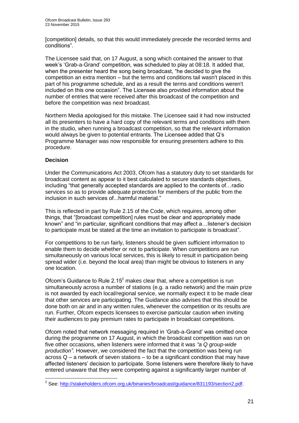[competition] details, so that this would immediately precede the recorded terms and conditions".

The Licensee said that, on 17 August, a song which contained the answer to that week's 'Grab-a-Grand' competition, was scheduled to play at 08:18. It added that, when the presenter heard the song being broadcast, "he decided to give the competition an extra mention – but the terms and conditions tail wasn't placed in this part of his programme schedule, and as a result the terms and conditions weren't included on this one occasion". The Licensee also provided information about the number of entries that were received after this broadcast of the competition and before the competition was next broadcast.

Northern Media apologised for this mistake. The Licensee said it had now instructed all its presenters to have a hard copy of the relevant terms and conditions with them in the studio, when running a broadcast competition, so that the relevant information would always be given to potential entrants. The Licensee added that Q's Programme Manager was now responsible for ensuring presenters adhere to this procedure.

# **Decision**

Under the Communications Act 2003, Ofcom has a statutory duty to set standards for broadcast content as appear to it best calculated to secure standards objectives, including "that generally accepted standards are applied to the contents of…radio services so as to provide adequate protection for members of the public from the inclusion in such services of...harmful material."

This is reflected in part by Rule 2.15 of the Code, which requires, among other things, that "[broadcast competition] rules must be clear and appropriately made known" and "in particular, significant conditions that may affect a…listener's decision to participate must be stated at the time an invitation to participate is broadcast".

For competitions to be run fairly, listeners should be given sufficient information to enable them to decide whether or not to participate. When competitions are run simultaneously on various local services, this is likely to result in participation being spread wider (i.e. beyond the local area) than might be obvious to listeners in any one location.

Ofcom's Guidance to Rule  $2.15<sup>2</sup>$  makes clear that, where a competition is run simultaneously across a number of stations (e.g. a radio network) and the main prize is not awarded by each local/regional service, we normally expect it to be made clear that other services are participating. The Guidance also advises that this should be done both on air and in any written rules, whenever the competition or its results are run. Further, Ofcom expects licensees to exercise particular caution when inviting their audiences to pay premium rates to participate in broadcast competitions.

Ofcom noted that network messaging required in 'Grab-a-Grand' was omitted once during the programme on 17 August, in which the broadcast competition was run on five other occasions, when listeners were informed that it was *"a Q group-wide production".* However, we considered the fact that the competition was being run across Q – a network of seven stations – to be a significant condition that may have affected listeners' decision to participate. Some listeners were therefore likely to have entered unaware that they were competing against a significantly larger number of

 2 See: [http://stakeholders.ofcom.org.uk/binaries/broadcast/guidance/831193/section2.pdf.](http://stakeholders.ofcom.org.uk/binaries/broadcast/guidance/831193/section2.pdf)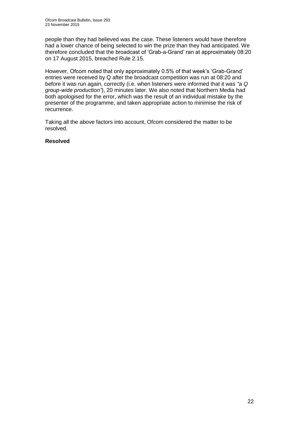people than they had believed was the case. These listeners would have therefore had a lower chance of being selected to win the prize than they had anticipated. We therefore concluded that the broadcast of 'Grab-a-Grand' ran at approximately 08:20 on 17 August 2015, breached Rule 2.15.

However, Ofcom noted that only approximately 0.5% of that week's 'Grab-Grand' entries were received by Q after the broadcast competition was run at 08:20 and before it was run again, correctly (i.e. when listeners were informed that it was *"a Q group-wide production"*), 20 minutes later. We also noted that Northern Media had both apologised for the error, which was the result of an individual mistake by the presenter of the programme, and taken appropriate action to minimise the risk of recurrence.

Taking all the above factors into account, Ofcom considered the matter to be resolved.

## **Resolved**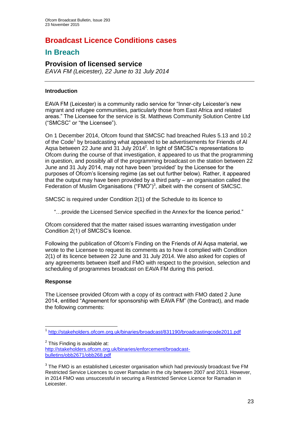# **Broadcast Licence Conditions cases**

# **In Breach**

# **Provision of licensed service**

*EAVA FM (Leicester), 22 June to 31 July 2014* 

# **Introduction**

EAVA FM (Leicester) is a community radio service for "Inner-city Leicester's new migrant and refugee communities, particularly those from East Africa and related areas." The Licensee for the service is St. Matthews Community Solution Centre Ltd ("SMCSC" or "the Licensee").

On 1 December 2014, Ofcom found that SMCSC had breached Rules 5.13 and 10.2 of the Code<sup>1</sup> by broadcasting what appeared to be advertisements for Friends of Al Aqsa between 22 June and 31 July 2014<sup>2</sup>. In light of SMCSC's representations to Ofcom during the course of that investigation, it appeared to us that the programming in question, and possibly all of the programming broadcast on the station between 22 June and 31 July 2014, may not have been 'provided' by the Licensee for the purposes of Ofcom's licensing regime (as set out further below). Rather, it appeared that the output may have been provided by a third party – an organisation called the Federation of Muslim Organisations ("FMO")<sup>3</sup>, albeit with the consent of SMCSC.

SMCSC is required under Condition 2(1) of the Schedule to its licence to

"…provide the Licensed Service specified in the Annex for the licence period."

Ofcom considered that the matter raised issues warranting investigation under Condition 2(1) of SMCSC's licence.

Following the publication of Ofcom's Finding on the Friends of Al Aqsa material, we wrote to the Licensee to request its comments as to how it complied with Condition 2(1) of its licence between 22 June and 31 July 2014. We also asked for copies of any agreements between itself and FMO with respect to the provision, selection and scheduling of programmes broadcast on EAVA FM during this period.

# **Response**

The Licensee provided Ofcom with a copy of its contract with FMO dated 2 June 2014, entitled "Agreement for sponsorship with EAVA FM" (the Contract), and made the following comments:

<sup>1</sup> 1 <http://stakeholders.ofcom.org.uk/binaries/broadcast/831190/broadcastingcode2011.pdf>

 $2$  This Finding is available at: [http://stakeholders.ofcom.org.uk/binaries/enforcement/broadcast](http://stakeholders.ofcom.org.uk/binaries/enforcement/broadcast-bulletins/obb2671/obb268.pdf)[bulletins/obb2671/obb268.pdf](http://stakeholders.ofcom.org.uk/binaries/enforcement/broadcast-bulletins/obb2671/obb268.pdf)

 $3$  The FMO is an established Leicester organisation which had previously broadcast five FM Restricted Service Licences to cover Ramadan in the city between 2007 and 2013. However, in 2014 FMO was unsuccessful in securing a Restricted Service Licence for Ramadan in Leicester.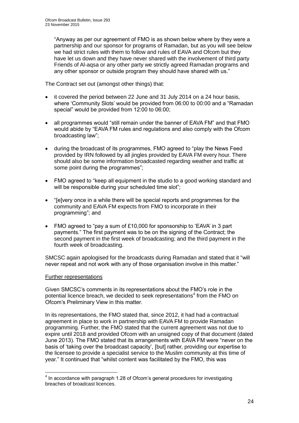"Anyway as per our agreement of FMO is as shown below where by they were a partnership and our sponsor for programs of Ramadan, but as you will see below we had strict rules with them to follow and rules of EAVA and Ofcom but they have let us down and they have never shared with the involvement of third party Friends of Al-aqsa or any other party we strictly agreed Ramadan programs and any other sponsor or outside program they should have shared with us."

The Contract set out (amongst other things) that:

- it covered the period between 22 June and 31 July 2014 on a 24 hour basis, where 'Community Slots' would be provided from 06:00 to 00:00 and a "Ramadan special" would be provided from 12:00 to 06:00;
- all programmes would "still remain under the banner of EAVA FM" and that FMO would abide by "EAVA FM rules and regulations and also comply with the Ofcom broadcasting law";
- during the broadcast of its programmes, FMO agreed to "play the News Feed provided by IRN followed by all jingles provided by EAVA FM every hour. There should also be some information broadcasted regarding weather and traffic at some point during the programmes";
- FMO agreed to "keep all equipment in the studio to a good working standard and will be responsible during your scheduled time slot";
- "[e]very once in a while there will be special reports and programmes for the community and EAVA FM expects from FMO to incorporate in their programming"; and
- FMO agreed to "pay a sum of £10,000 for sponsorship to 'EAVA' in 3 part payments." The first payment was to be on the signing of the Contract; the second payment in the first week of broadcasting; and the third payment in the fourth week of broadcasting.

SMCSC again apologised for the broadcasts during Ramadan and stated that it "will never repeat and not work with any of those organisation involve in this matter."

## Further representations

Given SMCSC's comments in its representations about the FMO's role in the potential licence breach, we decided to seek representations<sup>4</sup> from the FMO on Ofcom's Preliminary View in this matter.

In its representations, the FMO stated that, since 2012, it had had a contractual agreement in place to work in partnership with EAVA FM to provide Ramadan programming. Further, the FMO stated that the current agreement was not due to expire until 2018 and provided Ofcom with an unsigned copy of that document (dated June 2013). The FMO stated that its arrangements with EAVA FM were "never on the basis of 'taking over the broadcast capacity', [but] rather, providing our expertise to the licensee to provide a specialist service to the Muslim community at this time of year." It continued that "whilst content was facilitated by the FMO, this was

 4 In accordance with paragraph 1.28 of Ofcom's general procedures for investigating breaches of broadcast licences.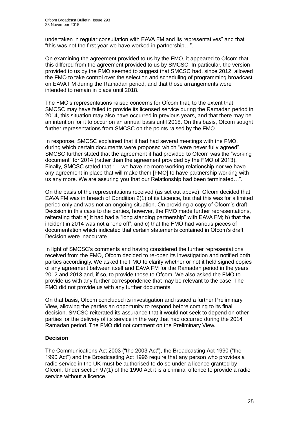undertaken in regular consultation with EAVA FM and its representatives" and that "this was not the first year we have worked in partnership…".

On examining the agreement provided to us by the FMO, it appeared to Ofcom that this differed from the agreement provided to us by SMCSC. In particular, the version provided to us by the FMO seemed to suggest that SMCSC had, since 2012, allowed the FMO to take control over the selection and scheduling of programming broadcast on EAVA FM during the Ramadan period, and that those arrangements were intended to remain in place until 2018.

The FMO's representations raised concerns for Ofcom that, to the extent that SMCSC may have failed to provide its licensed service during the Ramadan period in 2014, this situation may also have occurred in previous years, and that there may be an intention for it to occur on an annual basis until 2018. On this basis, Ofcom sought further representations from SMCSC on the points raised by the FMO.

In response, SMCSC explained that it had had several meetings with the FMO, during which certain documents were proposed which "were never fully agreed". SMCSC further stated that the agreement it had provided to Ofcom was the "working document" for 2014 (rather than the agreement provided by the FMO of 2013). Finally, SMCSC stated that "… we have no more working relationship nor we have any agreement in place that will make them [FMO] to have partnership working with us any more. We are assuring you that our Relationship had been terminated…".

On the basis of the representations received (as set out above), Ofcom decided that EAVA FM was in breach of Condition 2(1) of its Licence, but that this was for a limited period only and was not an ongoing situation. On providing a copy of Ofcom's draft Decision in this case to the parties, however, the FMO made further representations, reiterating that: a) it had had a "long standing partnership" with EAVA FM; b) that the incident in 2014 was not a "one off"; and c) that the FMO had various pieces of documentation which indicated that certain statements contained in Ofcom's draft Decision were inaccurate.

In light of SMCSC's comments and having considered the further representations received from the FMO, Ofcom decided to re-open its investigation and notified both parties accordingly. We asked the FMO to clarify whether or not it held signed copies of any agreement between itself and EAVA FM for the Ramadan period in the years 2012 and 2013 and, if so, to provide those to Ofcom. We also asked the FMO to provide us with any further correspondence that may be relevant to the case. The FMO did not provide us with any further documents.

On that basis, Ofcom concluded its investigation and issued a further Preliminary View, allowing the parties an opportunity to respond before coming to its final decision. SMCSC reiterated its assurance that it would not seek to depend on other parties for the delivery of its service in the way that had occurred during the 2014 Ramadan period. The FMO did not comment on the Preliminary View.

## **Decision**

The Communications Act 2003 ("the 2003 Act"), the Broadcasting Act 1990 ("the 1990 Act") and the Broadcasting Act 1996 require that any person who provides a radio service in the UK must be authorised to do so under a licence granted by Ofcom. Under section 97(1) of the 1990 Act it is a criminal offence to provide a radio service without a licence.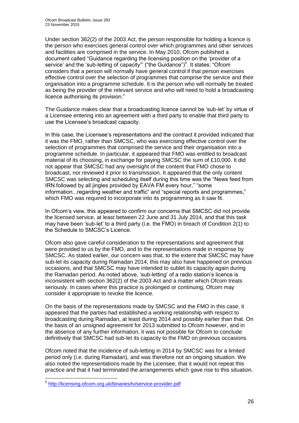Under section 362(2) of the 2003 Act, the person responsible for holding a licence is the person who exercises general control over which programmes and other services and facilities are comprised in the service. In May 2010, Ofcom published a document called "Guidance regarding the licensing position on the 'provider of a service' and the 'sub-letting of capacity" ("the Guidance")<sup>5</sup>. It states: "Ofcom considers that a person will normally have general control if that person exercises effective control over the selection of programmes that comprise the service and their organisation into a programme schedule. It is the person who will normally be treated as being the provider of the relevant service and who will need to hold a broadcasting licence authorising its provision."

The Guidance makes clear that a broadcasting licence cannot be 'sub-let' by virtue of a Licensee entering into an agreement with a third party to enable that third party to use the Licensee's broadcast capacity.

In this case, the Licensee's representations and the contract it provided indicated that it was the FMO, rather than SMCSC, who was exercising effective control over the selection of programmes that comprised the service and their organisation into a programme schedule. In particular, it appeared that FMO was entitled to broadcast material of its choosing, in exchange for paying SMCSC the sum of £10,000. It did not appear that SMCSC had any oversight of the content that FMO chose to broadcast, nor reviewed it prior to transmission. It appeared that the only content SMCSC was selecting and scheduling itself during this time was the "News feed from IRN followed by all jingles provided by EAVA FM every hour," "some information...regarding weather and traffic" and "special reports and programmes," which FMO was required to incorporate into its programming as it saw fit.

In Ofcom's view, this appeared to confirm our concerns that SMCSC did not provide the licensed service, at least between 22 June and 31 July 2014, and that this task may have been 'sub-let' to a third party (i.e. the FMO) in breach of Condition 2(1) to the Schedule to SMCSC's Licence.

Ofcom also gave careful consideration to the representations and agreement that were provided to us by the FMO, and to the representations made in response by SMCSC. As stated earlier, our concern was that, to the extent that SMCSC may have sub-let its capacity during Ramadan 2014, this may also have happened on previous occasions, and that SMCSC may have intended to sublet its capacity again during the Ramadan period. As noted above, 'sub-letting' of a radio station's licence is inconsistent with section 362(2) of the 2003 Act and a matter which Ofcom treats seriously. In cases where this practice is prolonged or continuing, Ofcom may consider it appropriate to revoke the licence.

On the basis of the representations made by SMCSC and the FMO in this case, it appeared that the parties had established a working relationship with respect to broadcasting during Ramadan, at least during 2014 and possibly earlier than that. On the basis of an unsigned agreement for 2013 submitted to Ofcom however, and in the absence of any further information, it was not possible for Ofcom to conclude definitively that SMCSC had sub-let its capacity to the FMO on previous occasions.

Ofcom noted that the incidence of sub-letting in 2014 by SMCSC was for a limited period only (i.e. during Ramadan), and was therefore not an ongoing situation. We also noted the representations made by the Licensee, that it would not repeat this practice and that it had terminated the arrangements which gave rise to this situation.

 5 <http://licensing.ofcom.org.uk/binaries/tv/service-provider.pdf>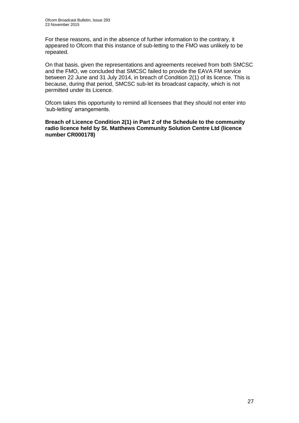For these reasons, and in the absence of further information to the contrary, it appeared to Ofcom that this instance of sub-letting to the FMO was unlikely to be repeated.

On that basis, given the representations and agreements received from both SMCSC and the FMO, we concluded that SMCSC failed to provide the EAVA FM service between 22 June and 31 July 2014, in breach of Condition 2(1) of its licence. This is because, during that period, SMCSC sub-let its broadcast capacity, which is not permitted under its Licence.

Ofcom takes this opportunity to remind all licensees that they should not enter into 'sub-letting' arrangements.

**Breach of Licence Condition 2(1) in Part 2 of the Schedule to the community radio licence held by St. Matthews Community Solution Centre Ltd (licence number CR000178)**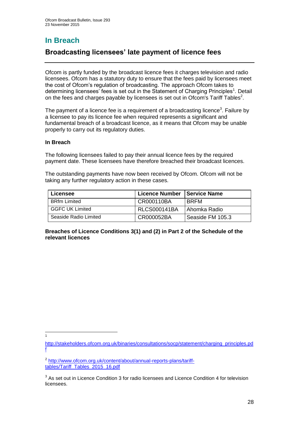# **In Breach**

# **Broadcasting licensees' late payment of licence fees**

Ofcom is partly funded by the broadcast licence fees it charges television and radio licensees. Ofcom has a statutory duty to ensure that the fees paid by licensees meet the cost of Ofcom's regulation of broadcasting. The approach Ofcom takes to determining licensees' fees is set out in the Statement of Charging Principles<sup>1</sup>. Detail on the fees and charges payable by licensees is set out in Ofcom's Tariff Tables<sup>2</sup>.

The payment of a licence fee is a requirement of a broadcasting licence<sup>3</sup>. Failure by a licensee to pay its licence fee when required represents a significant and fundamental breach of a broadcast licence, as it means that Ofcom may be unable properly to carry out its regulatory duties.

## **In Breach**

The following licensees failed to pay their annual licence fees by the required payment date. These licensees have therefore breached their broadcast licences.

The outstanding payments have now been received by Ofcom. Ofcom will not be taking any further regulatory action in these cases.

| Licensee               | <b>Licence Number</b> | <b>Service Name</b> |
|------------------------|-----------------------|---------------------|
| <b>BRfm Limited</b>    | CR000110BA            | <b>BRFM</b>         |
| <b>GGFC UK Limited</b> | RLCS000141BA          | I Ahomka Radio      |
| Seaside Radio Limited  | CR000052BA            | l Seaside FM 105.3  |

## **Breaches of Licence Conditions 3(1) and (2) in Part 2 of the Schedule of the relevant licences**

1 1

[http://stakeholders.ofcom.org.uk/binaries/consultations/socp/statement/charging\\_principles.pd](http://stakeholders.ofcom.org.uk/binaries/consultations/socp/statement/charging_principles.pdf) [f](http://stakeholders.ofcom.org.uk/binaries/consultations/socp/statement/charging_principles.pdf)

<sup>&</sup>lt;sup>2</sup> [http://www.ofcom.org.uk/content/about/annual-reports-plans/tariff](http://www.ofcom.org.uk/content/about/annual-reports-plans/tariff-tables/Tariff_Tables_2015_16.pdf)[tables/Tariff\\_Tables\\_2015\\_16.pdf](http://www.ofcom.org.uk/content/about/annual-reports-plans/tariff-tables/Tariff_Tables_2015_16.pdf)

 $3$  As set out in Licence Condition 3 for radio licensees and Licence Condition 4 for television licensees.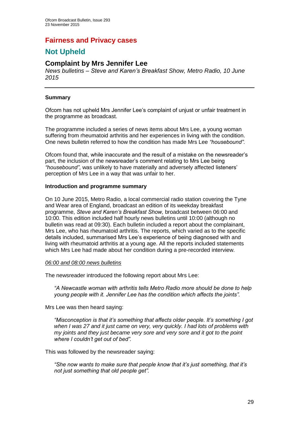# **Fairness and Privacy cases**

# **Not Upheld**

# **Complaint by Mrs Jennifer Lee**

*News bulletins – Steve and Karen's Breakfast Show, Metro Radio, 10 June 2015*

## **Summary**

Ofcom has not upheld Mrs Jennifer Lee's complaint of unjust or unfair treatment in the programme as broadcast.

The programme included a series of news items about Mrs Lee, a young woman suffering from rheumatoid arthritis and her experiences in living with the condition. One news bulletin referred to how the condition has made Mrs Lee *"housebound"*.

Ofcom found that, while inaccurate and the result of a mistake on the newsreader's part, the inclusion of the newsreader's comment relating to Mrs Lee being *"housebound"*, was unlikely to have materially and adversely affected listeners' perception of Mrs Lee in a way that was unfair to her.

## **Introduction and programme summary**

On 10 June 2015, Metro Radio, a local commercial radio station covering the Tyne and Wear area of England, broadcast an edition of its weekday breakfast programme, *Steve and Karen's Breakfast Show,* broadcast between 06:00 and 10:00. This edition included half hourly news bulletins until 10:00 (although no bulletin was read at 09:30). Each bulletin included a report about the complainant, Mrs Lee, who has rheumatoid arthritis. The reports, which varied as to the specific details included, summarised Mrs Lee's experience of being diagnosed with and living with rheumatoid arthritis at a young age. All the reports included statements which Mrs Lee had made about her condition during a pre-recorded interview.

#### *06:00 and 08:00 news bulletins*

The newsreader introduced the following report about Mrs Lee:

*"A Newcastle woman with arthritis tells Metro Radio more should be done to help young people with it. Jennifer Lee has the condition which affects the joints".* 

Mrs Lee was then heard saying:

*"Misconception is that it's something that affects older people. It's something I got when I was 27 and it just came on very, very quickly. I had lots of problems with my joints and they just became very sore and very sore and it got to the point where I couldn't get out of bed".*

This was followed by the newsreader saying:

*"She now wants to make sure that people know that it's just something, that it's not just something that old people get".*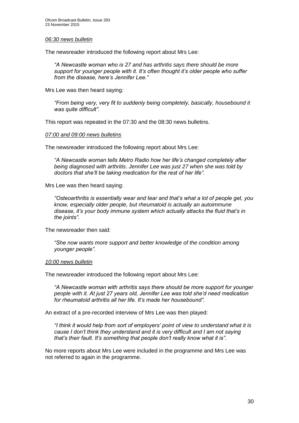#### *06:30 news bulletin*

The newsreader introduced the following report about Mrs Lee:

*"A Newcastle woman who is 27 and has arthritis says there should be more support for younger people with it. It's often thought it's older people who suffer from the disease, here's Jennifer Lee."*

Mrs Lee was then heard saying*:* 

*"From being very, very fit to suddenly being completely, basically, housebound it was quite difficult".*

This report was repeated in the 07:30 and the 08:30 news bulletins.

#### *07:00 and 09:00 news bulletins*

The newsreader introduced the following report about Mrs Lee:

*"A Newcastle woman tells Metro Radio how her life's changed completely after being diagnosed with arthritis. Jennifer Lee was just 27 when she was told by doctors that she'll be taking medication for the rest of her life".* 

Mrs Lee was then heard saying:

*"Osteoarthritis is essentially wear and tear and that's what a lot of people get, you know, especially older people, but rheumatoid is actually an autoimmune disease, it's your body immune system which actually attacks the fluid that's in the joints".* 

The newsreader then said:

*"She now wants more support and better knowledge of the condition among younger people".*

#### *10:00 news bulletin*

The newsreader introduced the following report about Mrs Lee:

*"A Newcastle woman with arthritis says there should be more support for younger people with it. At just 27 years old, Jennifer Lee was told she'd need medication for rheumatoid arthritis all her life. It's made her housebound".* 

An extract of a pre-recorded interview of Mrs Lee was then played:

*"I think it would help from sort of employers' point of view to understand what it is cause I don't think they understand and it is very difficult and I am not saying that's their fault. It's something that people don't really know what it is".* 

No more reports about Mrs Lee were included in the programme and Mrs Lee was not referred to again in the programme.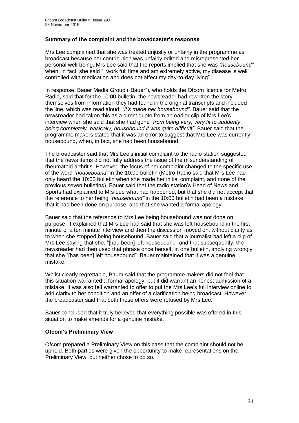## **Summary of the complaint and the broadcaster's response**

Mrs Lee complained that she was treated unjustly or unfairly in the programme as broadcast because her contribution was unfairly edited and misrepresented her personal well-being. Mrs Lee said that the reports implied that she was *"housebound"* when, in fact, she said "I work full time and am extremely active, my disease is well controlled with medication and does not affect my day-to-day living".

In response, Bauer Media Group ("Bauer"), who holds the Ofcom licence for Metro Radio, said that for the 10:00 bulletin, the newsreader had rewritten the story themselves from information they had found in the original transcripts and included the line, which was read aloud, *"it's made her housebound"*. Bauer said that the newsreader had taken this as a direct quote from an earlier clip of Mrs Lee's interview when she said that she had gone *"from being very, very fit to suddenly being completely, basically, housebound it was quite difficult"*. Bauer said that the programme makers stated that it was an error to suggest that Mrs Lee was currently housebound, when, in fact, she had been housebound.

The broadcaster said that Mrs Lee's initial complaint to the radio station suggested that the news items did not fully address the issue of the misunderstanding of rheumatoid arthritis. However, the focus of her complaint changed to the specific use of the word *"housebound"* in the 10:00 bulletin (Metro Radio said that Mrs Lee had only heard the 10:00 bulletin when she made her initial complaint, and none of the previous seven bulletins). Bauer said that the radio station's Head of News and Sports had explained to Mrs Lee what had happened, but that she did not accept that the reference to her being *"housebound"* in the 10:00 bulletin had been a mistake, that it had been done on purpose, and that she wanted a formal apology.

Bauer said that the reference to Mrs Lee being housebound was not done on purpose. It explained that Mrs Lee had said that she was left housebound in the first minute of a ten minute interview and then the discussion moved on, without clarity as to when she stopped being housebound. Bauer said that a journalist had left a clip of Mrs Lee saying that she, "[had been] left housebound" and that subsequently, the newsreader had then used that phrase once herself, in one bulletin, implying wrongly that she "[has been] left housebound". Bauer maintained that it was a genuine mistake.

Whilst clearly regrettable, Bauer said that the programme makers did not feel that this situation warranted a formal apology, but it did warrant an honest admission of a mistake. It was also felt warranted to offer to put the Mrs Lee's full interview online to add clarity to her condition and an offer of a clarification being broadcast. However, the broadcaster said that both these offers were refused by Mrs Lee.

Bauer concluded that it truly believed that everything possible was offered in this situation to make amends for a genuine mistake.

## **Ofcom's Preliminary View**

Ofcom prepared a Preliminary View on this case that the complaint should not be upheld. Both parties were given the opportunity to make representations on the Preliminary View, but neither chose to do so.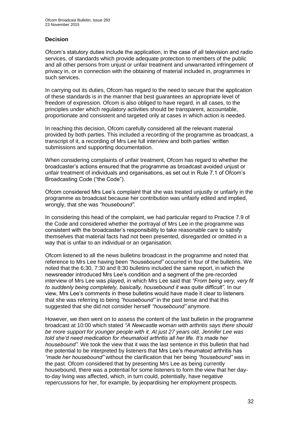# **Decision**

Ofcom's statutory duties include the application, in the case of all television and radio services, of standards which provide adequate protection to members of the public and all other persons from unjust or unfair treatment and unwarranted infringement of privacy in, or in connection with the obtaining of material included in, programmes in such services.

In carrying out its duties, Ofcom has regard to the need to secure that the application of these standards is in the manner that best guarantees an appropriate level of freedom of expression. Ofcom is also obliged to have regard, in all cases, to the principles under which regulatory activities should be transparent, accountable, proportionate and consistent and targeted only at cases in which action is needed.

In reaching this decision, Ofcom carefully considered all the relevant material provided by both parties. This included a recording of the programme as broadcast, a transcript of it, a recording of Mrs Lee full interview and both parties' written submissions and supporting documentation.

When considering complaints of unfair treatment, Ofcom has regard to whether the broadcaster's actions ensured that the programme as broadcast avoided unjust or unfair treatment of individuals and organisations, as set out in Rule 7.1 of Ofcom's Broadcasting Code ("the Code").

Ofcom considered Mrs Lee's complaint that she was treated unjustly or unfairly in the programme as broadcast because her contribution was unfairly edited and implied, wrongly, that she was *"housebound"*.

In considering this head of the complaint, we had particular regard to Practice 7.9 of the Code and considered whether the portrayal of Mrs Lee in the programme was consistent with the broadcaster's responsibility to take reasonable care to satisfy themselves that material facts had not been presented, disregarded or omitted in a way that is unfair to an individual or an organisation.

Ofcom listened to all the news bulletins broadcast in the programme and noted that reference to Mrs Lee having been *"housebound"* occurred in four of the bulletins. We noted that the 6:30, 7:30 and 8:30 bulletins included the same report, in which the newsreader introduced Mrs Lee's condition and a segment of the pre-recorded interview of Mrs Lee was played, in which Mrs Lee said that *"From being very, very fit to suddenly being completely, basically, housebound it was quite difficult".* In our view, Mrs Lee's comments in these bulletins would have made it clear to listeners that she was referring to being *"housebound"* in the past tense and that this suggested that she did not consider herself *"housebound"* anymore.

However, we then went on to assess the content of the last bulletin in the programme broadcast at 10:00 which stated *"A Newcastle woman with arthritis says there should be more support for younger people with it. At just 27 years old, Jennifer Lee was told she'd need medication for rheumatoid arthritis all her life. It's made her housebound".* We took the view that it was the last sentence in this bulletin that had the potential to be interpreted by listeners that Mrs Lee's rheumatoid arthritis has *"made her housebound"* without the clarification that her being *"housebound"* was in the past. Ofcom considered that by presenting Mrs Lee as being currently housebound, there was a potential for some listeners to form the view that her dayto-day living was affected, which, in turn could, potentially, have negative repercussions for her, for example, by jeopardising her employment prospects.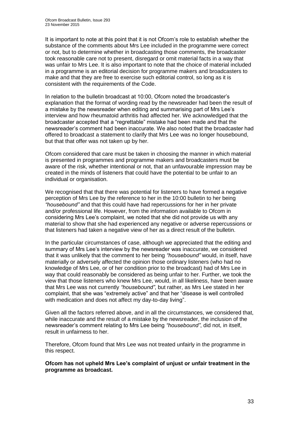It is important to note at this point that it is not Ofcom's role to establish whether the substance of the comments about Mrs Lee included in the programme were correct or not, but to determine whether in broadcasting those comments, the broadcaster took reasonable care not to present, disregard or omit material facts in a way that was unfair to Mrs Lee. It is also important to note that the choice of material included in a programme is an editorial decision for programme makers and broadcasters to make and that they are free to exercise such editorial control, so long as it is consistent with the requirements of the Code.

In relation to the bulletin broadcast at 10:00, Ofcom noted the broadcaster's explanation that the format of wording read by the newsreader had been the result of a mistake by the newsreader when editing and summarising part of Mrs Lee's interview and how rheumatoid arthritis had affected her. We acknowledged that the broadcaster accepted that a "regrettable" mistake had been made and that the newsreader's comment had been inaccurate. We also noted that the broadcaster had offered to broadcast a statement to clarify that Mrs Lee was no longer housebound, but that that offer was not taken up by her.

Ofcom considered that care must be taken in choosing the manner in which material is presented in programmes and programme makers and broadcasters must be aware of the risk, whether intentional or not, that an unfavourable impression may be created in the minds of listeners that could have the potential to be unfair to an individual or organisation.

We recognised that that there was potential for listeners to have formed a negative perception of Mrs Lee by the reference to her in the 10:00 bulletin to her being *"housebound"* and that this could have had repercussions for her in her private and/or professional life. However, from the information available to Ofcom in considering Mrs Lee's complaint, we noted that she did not provide us with any material to show that she had experienced any negative or adverse repercussions or that listeners had taken a negative view of her as a direct result of the bulletin.

In the particular circumstances of case, although we appreciated that the editing and summary of Mrs Lee's interview by the newsreader was inaccurate, we considered that it was unlikely that the comment to her being *"housebound"* would, in itself, have materially or adversely affected the opinion those ordinary listeners (who had no knowledge of Mrs Lee, or of her condition prior to the broadcast) had of Mrs Lee in way that could reasonably be considered as being unfair to her. Further, we took the view that those listeners who knew Mrs Lee, would, in all likeliness, have been aware that Mrs Lee was not currently *"housebound"*, but rather, as Mrs Lee stated in her complaint, that she was "extremely active" and that her "disease is well controlled with medication and does not affect my day-to-day living".

Given all the factors referred above, and in all the circumstances, we considered that, while inaccurate and the result of a mistake by the newsreader, the inclusion of the newsreader's comment relating to Mrs Lee being *"housebound"*, did not, in itself, result in unfairness to her.

Therefore, Ofcom found that Mrs Lee was not treated unfairly in the programme in this respect.

**Ofcom has not upheld Mrs Lee's complaint of unjust or unfair treatment in the programme as broadcast.**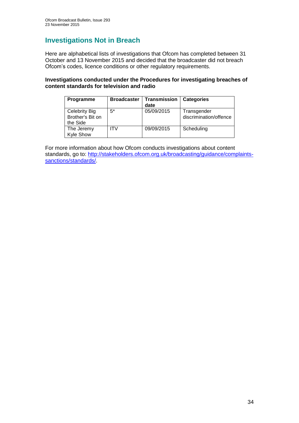# **Investigations Not in Breach**

Here are alphabetical lists of investigations that Ofcom has completed between 31 October and 13 November 2015 and decided that the broadcaster did not breach Ofcom's codes, licence conditions or other regulatory requirements.

## **Investigations conducted under the Procedures for investigating breaches of content standards for television and radio**

| Programme                                            | <b>Broadcaster</b> | Transmission<br>date | <b>Categories</b>                     |
|------------------------------------------------------|--------------------|----------------------|---------------------------------------|
| <b>Celebrity Big</b><br>Brother's Bit on<br>the Side | $5^*$              | 05/09/2015           | Transgender<br>discrimination/offence |
| The Jeremy<br><b>Kyle Show</b>                       | IT۷                | 09/09/2015           | Scheduling                            |

For more information about how Ofcom conducts investigations about content standards, go to: [http://stakeholders.ofcom.org.uk/broadcasting/guidance/complaints](http://stakeholders.ofcom.org.uk/broadcasting/guidance/complaints-sanctions/standards/)[sanctions/standards/.](http://stakeholders.ofcom.org.uk/broadcasting/guidance/complaints-sanctions/standards/)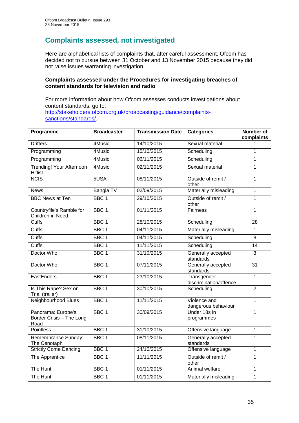# **Complaints assessed, not investigated**

Here are alphabetical lists of complaints that, after careful assessment, Ofcom has decided not to pursue between 31 October and 13 November 2015 because they did not raise issues warranting investigation.

## **Complaints assessed under the Procedures for investigating breaches of content standards for television and radio**

For more information about how Ofcom assesses conducts investigations about content standards, go to: [http://stakeholders.ofcom.org.uk/broadcasting/guidance/complaints](http://stakeholders.ofcom.org.uk/broadcasting/guidance/complaints-sanctions/standards/)[sanctions/standards/.](http://stakeholders.ofcom.org.uk/broadcasting/guidance/complaints-sanctions/standards/)

| Programme                                              | <b>Broadcaster</b> | <b>Transmission Date</b> | <b>Categories</b>                          | <b>Number of</b><br>complaints |
|--------------------------------------------------------|--------------------|--------------------------|--------------------------------------------|--------------------------------|
| <b>Drifters</b>                                        | 4Music             | 14/10/2015               | Sexual material                            | 1                              |
| Programming                                            | 4Music             | 15/10/2015               | Scheduling                                 | 1                              |
| Programming                                            | 4Music             | 06/11/2015               | Scheduling                                 | $\mathbf{1}$                   |
| Trending! Your Afternoon<br><b>Hitlist</b>             | 4Music             | 02/11/2015               | Sexual material                            | $\mathbf{1}$                   |
| <b>NCIS</b>                                            | 5USA               | 08/11/2015               | Outside of remit /<br>other                | $\mathbf{1}$                   |
| <b>News</b>                                            | Bangla TV          | 02/09/2015               | Materially misleading                      | $\overline{1}$                 |
| <b>BBC News at Ten</b>                                 | BBC <sub>1</sub>   | 29/10/2015               | Outside of remit /<br>other                | 1                              |
| Countryfile's Ramble for<br>Children in Need           | BBC <sub>1</sub>   | 01/11/2015               | Fairness                                   | $\mathbf{1}$                   |
| <b>Cuffs</b>                                           | BBC <sub>1</sub>   | 28/10/2015               | Scheduling                                 | 28                             |
| <b>Cuffs</b>                                           | BBC <sub>1</sub>   | 04/11/2015               | Materially misleading                      | 1                              |
| Cuffs                                                  | BBC <sub>1</sub>   | 04/11/2015               | Scheduling                                 | $\overline{8}$                 |
| <b>Cuffs</b>                                           | BBC <sub>1</sub>   | 11/11/2015               | Scheduling                                 | 14                             |
| Doctor Who                                             | BBC <sub>1</sub>   | 31/10/2015               | Generally accepted<br>standards            | 3                              |
| Doctor Who                                             | BBC <sub>1</sub>   | 07/11/2015               | Generally accepted<br>standards            | $\overline{31}$                |
| EastEnders                                             | BBC <sub>1</sub>   | 23/10/2015               | Transgender<br>discrimination/offence      | $\mathbf{1}$                   |
| Is This Rape? Sex on<br>Trial (trailer)                | BBC <sub>1</sub>   | 30/10/2015               | Scheduling                                 | $\overline{2}$                 |
| Neighbourhood Blues                                    | BBC <sub>1</sub>   | 11/11/2015               | Violence and<br>dangerous behaviour        | 1                              |
| Panorama: Europe's<br>Border Crisis - The Long<br>Road | BBC <sub>1</sub>   | 30/09/2015               | Under 18s in<br>$\mathbf{1}$<br>programmes |                                |
| <b>Pointless</b>                                       | BBC <sub>1</sub>   | 31/10/2015               | Offensive language                         | 1                              |
| Remembrance Sunday:<br>The Cenotaph                    | BBC <sub>1</sub>   | 08/11/2015               | Generally accepted<br>standards            | $\mathbf{1}$                   |
| <b>Strictly Come Dancing</b>                           | BBC <sub>1</sub>   | 24/10/2015               | Offensive language                         | $\mathbf{1}$                   |
| The Apprentice                                         | BBC <sub>1</sub>   | 11/11/2015               | Outside of remit /<br>other                | $\mathbf{1}$                   |
| The Hunt                                               | BBC <sub>1</sub>   | 01/11/2015               | Animal welfare                             | $\mathbf{1}$                   |
| The Hunt                                               | BBC <sub>1</sub>   | 01/11/2015               | Materially misleading                      | $\mathbf{1}$                   |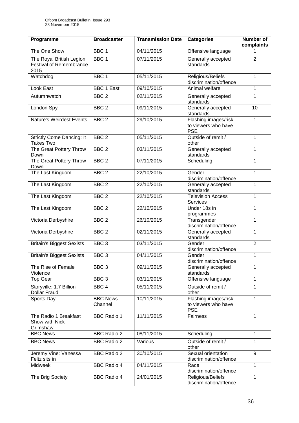| Programme                                                          | <b>Broadcaster</b>         | <b>Transmission Date</b> | <b>Categories</b>                                                         | Number of<br>complaints |
|--------------------------------------------------------------------|----------------------------|--------------------------|---------------------------------------------------------------------------|-------------------------|
| The One Show                                                       | BBC <sub>1</sub>           | 04/11/2015               | Offensive language                                                        |                         |
| The Royal British Legion<br><b>Festival of Remembrance</b><br>2015 | BBC <sub>1</sub>           | 07/11/2015               | Generally accepted<br>standards                                           | $\overline{2}$          |
| Watchdog                                                           | BBC <sub>1</sub>           | 05/11/2015               | Religious/Beliefs<br>discrimination/offence                               | 1                       |
| Look East                                                          | <b>BBC 1 East</b>          | 09/10/2015               | Animal welfare                                                            | 1                       |
| Autumnwatch                                                        | BBC <sub>2</sub>           | 02/11/2015               | Generally accepted<br>standards                                           | 1                       |
| London Spy                                                         | BBC <sub>2</sub>           | 09/11/2015               | Generally accepted<br>standards                                           | 10                      |
| <b>Nature's Weirdest Events</b>                                    | BBC <sub>2</sub>           | 29/10/2015               | Flashing images/risk<br>to viewers who have<br><b>PSE</b>                 | 1                       |
| <b>Strictly Come Dancing: It</b><br><b>Takes Two</b>               | BBC <sub>2</sub>           | 05/11/2015               | Outside of remit /<br>other                                               | 1                       |
| The Great Pottery Throw<br>Down                                    | BBC <sub>2</sub>           | 03/11/2015               | Generally accepted<br>standards                                           | 1                       |
| The Great Pottery Throw<br>Down                                    | BBC <sub>2</sub>           | 07/11/2015               | Scheduling                                                                | 1                       |
| The Last Kingdom                                                   | BBC <sub>2</sub>           | 22/10/2015               | Gender<br>discrimination/offence                                          | 1                       |
| The Last Kingdom                                                   | BBC <sub>2</sub>           | 22/10/2015               | Generally accepted<br>standards                                           | 1                       |
| The Last Kingdom                                                   | BBC <sub>2</sub>           | 22/10/2015               | <b>Television Access</b><br><b>Services</b>                               | 1                       |
| The Last Kingdom                                                   | BBC <sub>2</sub>           | 22/10/2015               | Under 18s in<br>1<br>programmes                                           |                         |
| Victoria Derbyshire                                                | BBC <sub>2</sub>           | 26/10/2015               | Transgender<br>discrimination/offence                                     | 1                       |
| Victoria Derbyshire                                                | BBC <sub>2</sub>           | 02/11/2015               | Generally accepted<br>standards                                           | 1                       |
| <b>Britain's Biggest Sexists</b>                                   | BBC <sub>3</sub>           | 03/11/2015               | Gender<br>discrimination/offence                                          | $\overline{2}$          |
| <b>Britain's Biggest Sexists</b>                                   | BBC <sub>3</sub>           | 04/11/2015               | Gender<br>discrimination/offence                                          | 1                       |
| The Rise of Female<br>Violence                                     | BBC <sub>3</sub>           | 09/11/2015               | 1<br>Generally accepted<br>standards                                      |                         |
| <b>Top Gear</b>                                                    | BBC <sub>3</sub>           | 03/11/2015               | Offensive language<br>1                                                   |                         |
| Storyville: 1.7 Billion<br>Dollar Fraud                            | BBC <sub>4</sub>           | 05/11/2015               | Outside of remit /<br>1<br>other                                          |                         |
| Sports Day                                                         | <b>BBC News</b><br>Channel | 10/11/2015               | Flashing images/risk<br>$\mathbf{1}$<br>to viewers who have<br><b>PSE</b> |                         |
| The Radio 1 Breakfast<br>Show with Nick<br>Grimshaw                | <b>BBC Radio 1</b>         | 11/11/2015               | Fairness                                                                  | 1                       |
| <b>BBC News</b>                                                    | <b>BBC Radio 2</b>         | 08/11/2015               | Scheduling                                                                | 1                       |
| <b>BBC News</b>                                                    | <b>BBC Radio 2</b>         | Various                  | Outside of remit /<br>other                                               | 1                       |
| Jeremy Vine: Vanessa<br>Feltz sits in                              | <b>BBC Radio 2</b>         | 30/10/2015               | Sexual orientation<br>discrimination/offence                              | 9                       |
| Midweek                                                            | <b>BBC Radio 4</b>         | 04/11/2015               | Race<br>discrimination/offence                                            | 1                       |
| The Brig Society                                                   | <b>BBC Radio 4</b>         | 24/01/2015               | Religious/Beliefs<br>discrimination/offence                               | 1                       |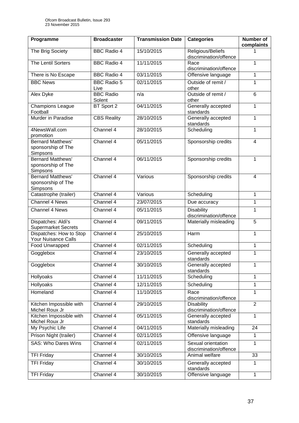| Programme                                                  | <b>Broadcaster</b>         | <b>Transmission Date</b> | <b>Categories</b>                            | <b>Number of</b><br>complaints |
|------------------------------------------------------------|----------------------------|--------------------------|----------------------------------------------|--------------------------------|
| The Brig Society                                           | <b>BBC Radio 4</b>         | 15/10/2015               | Religious/Beliefs<br>discrimination/offence  |                                |
| The Lentil Sorters                                         | <b>BBC Radio 4</b>         | 11/11/2015               | Race<br>discrimination/offence               | 1                              |
| There is No Escape                                         | <b>BBC Radio 4</b>         | 03/11/2015               | Offensive language                           | 1                              |
| <b>BBC News</b>                                            | <b>BBC Radio 5</b><br>Live | 02/11/2015               | Outside of remit /<br>other                  | 1                              |
| Alex Dyke                                                  | <b>BBC Radio</b><br>Solent | n/a                      | Outside of remit /<br>other                  | $\overline{6}$                 |
| <b>Champions League</b><br>Football                        | BT Sport 2                 | 04/11/2015               | Generally accepted<br>standards              | 1                              |
| Murder in Paradise                                         | <b>CBS Reality</b>         | 28/10/2015               | Generally accepted<br>standards              | 1                              |
| 4NewsWall.com<br>promotion                                 | Channel 4                  | 28/10/2015               | Scheduling                                   | 1                              |
| <b>Bernard Matthews'</b><br>sponsorship of The<br>Simpsons | Channel 4                  | 05/11/2015               | Sponsorship credits                          | 4                              |
| <b>Bernard Matthews'</b><br>sponsorship of The<br>Simpsons | Channel $4$                | 06/11/2015               | Sponsorship credits                          | 1                              |
| <b>Bernard Matthews'</b><br>sponsorship of The<br>Simpsons | Channel 4                  | Various                  | Sponsorship credits                          | $\overline{4}$                 |
| Catastrophe (trailer)                                      | Channel 4                  | Various                  | Scheduling                                   | 1                              |
| <b>Channel 4 News</b>                                      | Channel 4                  | 23/07/2015               | Due accuracy                                 | 1                              |
| Channel 4 News                                             | Channel 4                  | 05/11/2015               | <b>Disability</b><br>discrimination/offence  | 1                              |
| Dispatches: Aldi's<br><b>Supermarket Secrets</b>           | Channel 4                  | 09/11/2015               | Materially misleading                        | 5                              |
| Dispatches: How to Stop<br>Your Nuisance Calls             | Channel 4                  | 25/10/2015               | Harm<br>1                                    |                                |
| Food Unwrapped                                             | Channel 4                  | 02/11/2015               | Scheduling                                   | 1                              |
| Gogglebox                                                  | Channel 4                  | 23/10/2015               | Generally accepted<br>standards              | 1                              |
| Gogglebox                                                  | Channel 4                  | 30/10/2015               | Generally accepted<br>1<br>standards         |                                |
| Hollyoaks                                                  | Channel 4                  | 11/11/2015               | Scheduling                                   | 1                              |
| <b>Hollyoaks</b>                                           | Channel 4                  | 12/11/2015               | Scheduling<br>1                              |                                |
| Homeland                                                   | Channel 4                  | 11/10/2015               | Race<br>1<br>discrimination/offence          |                                |
| Kitchen Impossible with<br>Michel Roux Jr                  | Channel 4                  | 29/10/2015               | <b>Disability</b><br>discrimination/offence  | $\overline{2}$                 |
| Kitchen Impossible with<br>Michel Roux Jr                  | Channel 4                  | 05/11/2015               | Generally accepted<br>standards              | 1                              |
| My Psychic Life                                            | Channel 4                  | 04/11/2015               | Materially misleading                        | 24                             |
| Prison Night (trailer)                                     | Channel 4                  | 02/11/2015               | Offensive language                           | 1                              |
| <b>SAS: Who Dares Wins</b>                                 | Channel 4                  | 02/11/2015               | Sexual orientation<br>discrimination/offence | 1                              |
| <b>TFI Friday</b>                                          | Channel 4                  | 30/10/2015               | Animal welfare                               | 33                             |
| <b>TFI Friday</b>                                          | Channel 4                  | 30/10/2015               | Generally accepted<br>standards              | $\mathbf{1}$                   |
| <b>TFI Friday</b>                                          | Channel 4                  | 30/10/2015               | Offensive language                           | $\mathbf{1}$                   |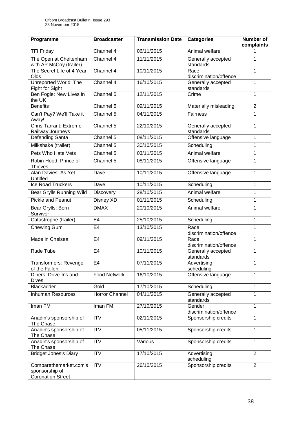| Programme                                                            | <b>Broadcaster</b>  | <b>Transmission Date</b> | <b>Categories</b>                     | Number of<br>complaints |
|----------------------------------------------------------------------|---------------------|--------------------------|---------------------------------------|-------------------------|
| <b>TFI Friday</b>                                                    | Channel 4           | 06/11/2015               | Animal welfare                        |                         |
| The Open at Cheltenham<br>with AP McCoy (trailer)                    | Channel 4           | 11/11/2015               | Generally accepted<br>standards       | 1                       |
| The Secret Life of 4 Year<br>Olds                                    | Channel 4           | 10/11/2015               | Race<br>discrimination/offence        | 1                       |
| Unreported World: The<br>Fight for Sight                             | Channel 4           | 16/10/2015               | Generally accepted<br>standards       | 1                       |
| Ben Fogle: New Lives in<br>the UK                                    | Channel 5           | 12/11/2015               | Crime                                 | 1                       |
| <b>Benefits</b>                                                      | Channel $5$         | 09/11/2015               | Materially misleading                 | $\overline{2}$          |
| Can't Pay? We'll Take it<br>Away!                                    | Channel 5           | 04/11/2015               | Fairness                              | 1                       |
| <b>Chris Tarrant: Extreme</b><br>Railway Journeys                    | Channel 5           | 22/10/2015               | Generally accepted<br>standards       | 1                       |
| Defending Santa                                                      | Channel 5           | 08/11/2015               | Offensive language                    | 1                       |
| Milkshake (trailer)                                                  | Channel 5           | 30/10/2015               | Scheduling                            | 1                       |
| Pets Who Hate Vets                                                   | Channel 5           | 03/11/2015               | Animal welfare                        | 1                       |
| Robin Hood: Prince of<br><b>Thieves</b>                              | Channel 5           | 08/11/2015               | Offensive language                    | 1                       |
| Alan Davies: As Yet<br>Untitled                                      | Dave                | 10/11/2015               | Offensive language                    | 1                       |
| <b>Ice Road Truckers</b>                                             | Dave                | 10/11/2015               | Scheduling                            | 1                       |
| Bear Grylls Running Wild                                             | <b>Discovery</b>    | 28/10/2015               | Animal welfare                        | 1                       |
| <b>Pickle and Peanut</b>                                             | Disney XD           | 01/11/2015               | Scheduling                            | 1                       |
| Bear Grylls: Born<br>Survivor                                        | <b>DMAX</b>         | 20/10/2015               | Animal welfare                        | 1                       |
| Catastrophe (trailer)                                                | E <sub>4</sub>      | 25/10/2015               | Scheduling                            | 1                       |
| Chewing Gum                                                          | E <sub>4</sub>      | 13/10/2015               | Race<br>discrimination/offence        | 1                       |
| Made in Chelsea                                                      | E <sub>4</sub>      | 09/11/2015               | Race<br>discrimination/offence        | 1                       |
| Rude Tube                                                            | E <sub>4</sub>      | 10/11/2015               | Generally accepted<br>1<br>standards  |                         |
| Transformers: Revenge<br>of the Fallen                               | E <sub>4</sub>      | 07/11/2015               | Advertising<br>scheduling             | 1                       |
| Diners, Drive-Ins and<br><b>Dives</b>                                | <b>Food Network</b> | 16/10/2015               | Offensive language                    | 1                       |
| Blackadder                                                           | Gold                | 17/10/2015               | Scheduling                            | 1                       |
| <b>Inhuman Resources</b>                                             | Horror Channel      | 04/11/2015               | Generally accepted<br>1<br>standards  |                         |
| Iman FM                                                              | Iman FM             | 27/10/2015               | 1<br>Gender<br>discrimination/offence |                         |
| Anadin's sponsorship of<br>The Chase                                 | <b>ITV</b>          | 02/11/2015               | Sponsorship credits<br>1              |                         |
| Anadin's sponsorship of<br>The Chase                                 | $\overline{IV}$     | 05/11/2015               | Sponsorship credits                   | 1                       |
| Anadin's sponsorship of<br>The Chase                                 | <b>ITV</b>          | Various                  | Sponsorship credits                   | 1                       |
| <b>Bridget Jones's Diary</b>                                         | <b>ITV</b>          | 17/10/2015               | Advertising<br>scheduling             | $\overline{2}$          |
| Comparethemarket.com's<br>sponsorship of<br><b>Coronation Street</b> | $\overline{IV}$     | 26/10/2015               | Sponsorship credits                   | $\overline{2}$          |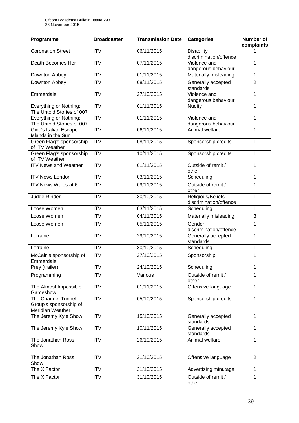| Programme                                                               | <b>Broadcaster</b> | <b>Transmission Date</b> | <b>Categories</b>                                | <b>Number of</b><br>complaints |
|-------------------------------------------------------------------------|--------------------|--------------------------|--------------------------------------------------|--------------------------------|
| <b>Coronation Street</b>                                                | <b>ITV</b>         | 06/11/2015               | <b>Disability</b><br>discrimination/offence      |                                |
| Death Becomes Her                                                       | <b>ITV</b>         | 07/11/2015               | Violence and<br>dangerous behaviour              | 1                              |
| Downton Abbey                                                           | $\overline{IV}$    | 01/11/2015               | Materially misleading                            | 1                              |
| Downton Abbey                                                           | <b>ITV</b>         | 08/11/2015               | Generally accepted<br>standards                  | $\overline{2}$                 |
| Emmerdale                                                               | $\overline{ITV}$   | 27/10/2015               | Violence and<br>dangerous behaviour              | $\mathbf{1}$                   |
| Everything or Nothing:<br>The Untold Stories of 007                     | $\overline{ITV}$   | 01/11/2015               | <b>Nudity</b>                                    | 1                              |
| Everything or Nothing:<br>The Untold Stories of 007                     | <b>ITV</b>         | 01/11/2015               | Violence and<br>dangerous behaviour              | 1                              |
| Gino's Italian Escape:<br><b>Islands in the Sun</b>                     | <b>ITV</b>         | 06/11/2015               | Animal welfare                                   | 1                              |
| Green Flag's sponsorship<br>of ITV Weather                              | $\overline{ITV}$   | 08/11/2015               | Sponsorship credits                              | 1                              |
| Green Flag's sponsorship<br>of ITV Weather                              | $\overline{IV}$    | 10/11/2015               | Sponsorship credits                              | 1                              |
| <b>ITV News and Weather</b>                                             | <b>ITV</b>         | 01/11/2015               | Outside of remit /<br>other                      | 1                              |
| <b>ITV News London</b>                                                  | ITV                | 03/11/2015               | Scheduling                                       | 1                              |
| ITV News Wales at 6                                                     | $\overline{IV}$    | 09/11/2015               | Outside of remit /<br>other                      | $\mathbf{1}$                   |
| Judge Rinder                                                            | $\overline{ITV}$   | 30/10/2015               | Religious/Beliefs<br>1<br>discrimination/offence |                                |
| Loose Women                                                             | $\overline{ITV}$   | 03/11/2015               | Scheduling<br>1                                  |                                |
| Loose Women                                                             | <b>ITV</b>         | 04/11/2015               | Materially misleading                            | 3                              |
| Loose Women                                                             | $\overline{ITV}$   | 05/11/2015               | Gender<br>discrimination/offence                 | 1                              |
| Lorraine                                                                | <b>ITV</b>         | 29/10/2015               | Generally accepted<br>standards                  | 1                              |
| Lorraine                                                                | ITV                | 30/10/2015               | Scheduling                                       | 1                              |
| McCain's sponsorship of<br>Emmerdale                                    | <b>ITV</b>         | 27/10/2015               | Sponsorship                                      | 1                              |
| Prey (trailer)                                                          | <b>ITV</b>         | 24/10/2015               | Scheduling                                       | 1                              |
| Programming                                                             | <b>ITV</b>         | Various                  | Outside of remit /<br>other                      | 1                              |
| The Almost Impossible<br>Gameshow                                       | ITV                | 01/11/2015               | Offensive language                               | $\mathbf{1}$                   |
| <b>The Channel Tunnel</b><br>Group's sponsorship of<br>Meridian Weather | $\overline{IV}$    | 05/10/2015               | Sponsorship credits                              | 1                              |
| The Jeremy Kyle Show                                                    | <b>ITV</b>         | 15/10/2015               | Generally accepted<br>standards                  | 1                              |
| The Jeremy Kyle Show                                                    | <b>ITV</b>         | 10/11/2015               | Generally accepted<br>standards                  | 1                              |
| The Jonathan Ross<br>Show                                               | <b>ITV</b>         | 26/10/2015               | Animal welfare                                   | 1                              |
| The Jonathan Ross<br>Show                                               | <b>ITV</b>         | 31/10/2015               | Offensive language                               | $\overline{2}$                 |
| The X Factor                                                            | <b>ITV</b>         | 31/10/2015               | Advertising minutage                             | 1                              |
| The X Factor                                                            | <b>ITV</b>         | 31/10/2015               | Outside of remit /<br>other                      | 1                              |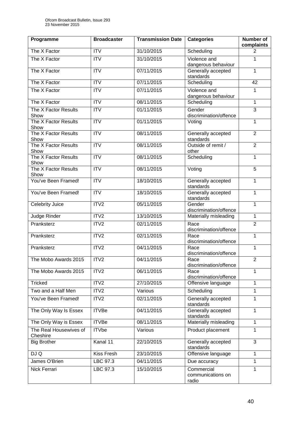| Programme                          | <b>Broadcaster</b> | <b>Transmission Date</b> | Categories                                       | <b>Number of</b><br>complaints |
|------------------------------------|--------------------|--------------------------|--------------------------------------------------|--------------------------------|
| The X Factor                       | <b>ITV</b>         | 31/10/2015               | Scheduling                                       | $\overline{2}$                 |
| The X Factor                       | $\overline{ITV}$   | 31/10/2015               | Violence and<br>dangerous behaviour              | 1                              |
| The X Factor                       | $\overline{ITV}$   | 07/11/2015               | Generally accepted<br>standards                  | 1                              |
| The X Factor                       | $\overline{ITV}$   | 07/11/2015               | Scheduling                                       | 42                             |
| The X Factor                       | <b>ITV</b>         | 07/11/2015               | Violence and<br>dangerous behaviour              | 1                              |
| The X Factor                       | <b>ITV</b>         | 08/11/2015               | Scheduling                                       | 1                              |
| The X Factor Results<br>Show       | $\overline{ITV}$   | 01/11/2015               | Gender<br>discrimination/offence                 | 3                              |
| The X Factor Results<br>Show       | <b>ITV</b>         | 01/11/2015               | Voting                                           | 1                              |
| The X Factor Results<br>Show       | ITV                | 08/11/2015               | Generally accepted<br>standards                  | $\overline{2}$                 |
| The X Factor Results<br>Show       | $\overline{ITV}$   | 08/11/2015               | Outside of remit /<br>other                      | $\overline{2}$                 |
| The X Factor Results<br>Show       | <b>ITV</b>         | 08/11/2015               | Scheduling                                       | 1                              |
| The X Factor Results<br>Show       | $\overline{ITV}$   | 08/11/2015               | Voting                                           | $\overline{5}$                 |
| You've Been Framed!                | $\overline{ITV}$   | 18/10/2015               | Generally accepted<br>standards                  | 1                              |
| You've Been Framed!                | <b>ITV</b>         | 18/10/2015               | Generally accepted<br>standards                  | 1                              |
| Celebrity Juice                    | ITV2               | 05/11/2015               | Gender<br>discrimination/offence                 | 1                              |
| Judge Rinder                       | ITV2               | 13/10/2015               | Materially misleading                            | 1                              |
| Pranksterz                         | ITV2               | 02/11/2015               | Race<br>discrimination/offence                   | $\overline{2}$                 |
| Pranksterz                         | ITV <sub>2</sub>   | 02/11/2015               | Race<br>discrimination/offence                   | 1                              |
| Pranksterz                         | ITV <sub>2</sub>   | 04/11/2015               | Race<br>1<br>discrimination/offence              |                                |
| The Mobo Awards 2015               | ITV2               | 04/11/2015               | $\overline{2}$<br>Race<br>discrimination/offence |                                |
| The Mobo Awards 2015               | ITV <sub>2</sub>   | 06/11/2015               | Race<br>1<br>discrimination/offence              |                                |
| <b>Tricked</b>                     | ITV2               | 27/10/2015               | 1<br>Offensive language                          |                                |
| Two and a Half Men                 | ITV <sub>2</sub>   | Various                  | Scheduling<br>1                                  |                                |
| You've Been Framed!                | ITV2               | 02/11/2015               | Generally accepted<br>$\mathbf{1}$<br>standards  |                                |
| The Only Way Is Essex              | <b>ITVBe</b>       | 04/11/2015               | Generally accepted<br>1<br>standards             |                                |
| The Only Way is Essex              | <b>ITVBe</b>       | 08/11/2015               | Materially misleading                            | 1                              |
| The Real Housewives of<br>Cheshire | <b>ITVbe</b>       | Various                  | Product placement                                | 1                              |
| <b>Big Brother</b>                 | Kanal 11           | 22/10/2015               | Generally accepted<br>standards                  | $\overline{3}$                 |
| DJ Q                               | <b>Kiss Fresh</b>  | 23/10/2015               | Offensive language                               | 1                              |
| James O'Brien                      | LBC 97.3           | 04/11/2015               | Due accuracy                                     | $\mathbf{1}$                   |
| Nick Ferrari                       | LBC 97.3           | 15/10/2015               | Commercial<br>communications on<br>radio         | 1                              |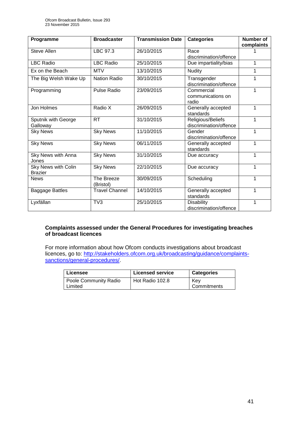| Programme                             | <b>Broadcaster</b>      | <b>Transmission Date</b> | <b>Categories</b>                           | <b>Number of</b><br>complaints |
|---------------------------------------|-------------------------|--------------------------|---------------------------------------------|--------------------------------|
| Steve Allen                           | LBC 97.3                | 26/10/2015               | Race<br>discrimination/offence              |                                |
| <b>LBC Radio</b>                      | <b>LBC Radio</b>        | 25/10/2015               | Due impartiality/bias                       | 1                              |
| Ex on the Beach                       | <b>MTV</b>              | 13/10/2015               | <b>Nudity</b>                               |                                |
| The Big Welsh Wake Up                 | <b>Nation Radio</b>     | 30/10/2015               | Transgender<br>discrimination/offence       |                                |
| Programming                           | <b>Pulse Radio</b>      | 23/09/2015               | Commercial<br>communications on<br>radio    |                                |
| Jon Holmes                            | Radio X                 | 26/09/2015               | Generally accepted<br>standards             | 1                              |
| Sputnik with George<br>Galloway       | <b>RT</b>               | 31/10/2015               | Religious/Beliefs<br>discrimination/offence | 1                              |
| <b>Sky News</b>                       | <b>Sky News</b>         | 11/10/2015               | 1<br>Gender<br>discrimination/offence       |                                |
| <b>Sky News</b>                       | <b>Sky News</b>         | 06/11/2015               | 1<br>Generally accepted<br>standards        |                                |
| Sky News with Anna<br>Jones           | <b>Sky News</b>         | 31/10/2015               | Due accuracy                                | 1                              |
| Sky News with Colin<br><b>Brazier</b> | <b>Sky News</b>         | 22/10/2015               | Due accuracy                                | 1                              |
| <b>News</b>                           | The Breeze<br>(Bristol) | 30/09/2015               | Scheduling                                  | 1                              |
| <b>Baggage Battles</b>                | <b>Travel Channel</b>   | 14/10/2015               | Generally accepted<br>1<br>standards        |                                |
| Lyxfällan                             | TV <sub>3</sub>         | 25/10/2015               | <b>Disability</b><br>discrimination/offence |                                |

## **Complaints assessed under the General Procedures for investigating breaches of broadcast licences**

For more information about how Ofcom conducts investigations about broadcast licences, go to: [http://stakeholders.ofcom.org.uk/broadcasting/guidance/complaints](http://stakeholders.ofcom.org.uk/broadcasting/guidance/complaints-sanctions/general-procedures/)[sanctions/general-procedures/.](http://stakeholders.ofcom.org.uk/broadcasting/guidance/complaints-sanctions/general-procedures/)

| Licensee              | <b>Licensed service</b> | <b>Categories</b> |
|-----------------------|-------------------------|-------------------|
| Poole Community Radio | Hot Radio 102.8         | Kev               |
| Limited               |                         | Commitments       |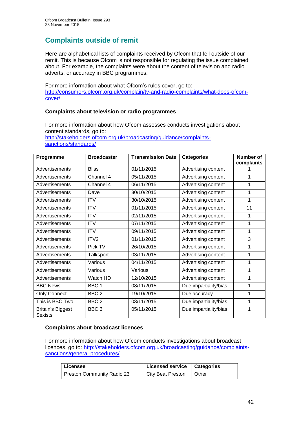# **Complaints outside of remit**

Here are alphabetical lists of complaints received by Ofcom that fell outside of our remit. This is because Ofcom is not responsible for regulating the issue complained about. For example, the complaints were about the content of television and radio adverts, or accuracy in BBC programmes.

For more information about what Ofcom's rules cover, go to: [http://consumers.ofcom.org.uk/complain/tv-and-radio-complaints/what-does-ofcom](http://consumers.ofcom.org.uk/complain/tv-and-radio-complaints/what-does-ofcom-cover/)[cover/](http://consumers.ofcom.org.uk/complain/tv-and-radio-complaints/what-does-ofcom-cover/)

# **Complaints about television or radio programmes**

For more information about how Ofcom assesses conducts investigations about content standards, go to: [http://stakeholders.ofcom.org.uk/broadcasting/guidance/complaints](http://stakeholders.ofcom.org.uk/broadcasting/guidance/complaints-sanctions/standards/)[sanctions/standards/](http://stakeholders.ofcom.org.uk/broadcasting/guidance/complaints-sanctions/standards/)

| Programme                           | <b>Broadcaster</b> | <b>Transmission Date</b> | <b>Categories</b>     | <b>Number of</b><br>complaints |
|-------------------------------------|--------------------|--------------------------|-----------------------|--------------------------------|
| Advertisements                      | <b>Bliss</b>       | 01/11/2015               | Advertising content   |                                |
| Advertisements                      | Channel 4          | 05/11/2015               | Advertising content   |                                |
| Advertisements                      | Channel 4          | 06/11/2015               | Advertising content   |                                |
| Advertisements                      | Dave               | 30/10/2015               | Advertising content   |                                |
| Advertisements                      | <b>ITV</b>         | 30/10/2015               | Advertising content   | 1                              |
| Advertisements                      | <b>ITV</b>         | 01/11/2015               | Advertising content   | 11                             |
| Advertisements                      | <b>ITV</b>         | 02/11/2015               | Advertising content   |                                |
| Advertisements                      | <b>ITV</b>         | 07/11/2015               | Advertising content   | 1                              |
| Advertisements                      | <b>ITV</b>         | 09/11/2015               | Advertising content   | 1                              |
| Advertisements                      | ITV <sub>2</sub>   | 01/11/2015               | Advertising content   | 3                              |
| Advertisements                      | Pick TV            | 26/10/2015               | Advertising content   |                                |
| Advertisements                      | Talksport          | 03/11/2015               | Advertising content   | 1                              |
| Advertisements                      | Various            | 04/11/2015               | Advertising content   | 1                              |
| Advertisements                      | Various            | Various                  | Advertising content   |                                |
| Advertisements                      | Watch HD           | 12/10/2015               | Advertising content   | 1                              |
| <b>BBC News</b>                     | BBC <sub>1</sub>   | 08/11/2015               | Due impartiality/bias | 1                              |
| <b>Only Connect</b>                 | BBC <sub>2</sub>   | 19/10/2015               | Due accuracy          | 1                              |
| This is BBC Two                     | BBC <sub>2</sub>   | 03/11/2015               | Due impartiality/bias | 1                              |
| <b>Britain's Biggest</b><br>Sexists | BBC <sub>3</sub>   | 05/11/2015               | Due impartiality/bias | 1                              |

# **Complaints about broadcast licences**

For more information about how Ofcom conducts investigations about broadcast licences, go to: [http://stakeholders.ofcom.org.uk/broadcasting/guidance/complaints](http://stakeholders.ofcom.org.uk/broadcasting/guidance/complaints-sanctions/general-procedures/)[sanctions/general-procedures/](http://stakeholders.ofcom.org.uk/broadcasting/guidance/complaints-sanctions/general-procedures/)

| Licensee                   | Licensed service   Categories |  |
|----------------------------|-------------------------------|--|
| Preston Community Radio 23 | City Beat Preston   Other     |  |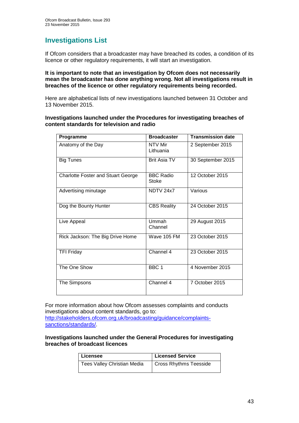# **Investigations List**

If Ofcom considers that a broadcaster may have breached its codes, a condition of its licence or other regulatory requirements, it will start an investigation.

#### **It is important to note that an investigation by Ofcom does not necessarily mean the broadcaster has done anything wrong. Not all investigations result in breaches of the licence or other regulatory requirements being recorded.**

Here are alphabetical lists of new investigations launched between 31 October and 13 November 2015.

#### **Investigations launched under the Procedures for investigating breaches of content standards for television and radio**

| Programme                                 | <b>Broadcaster</b>        | <b>Transmission date</b> |
|-------------------------------------------|---------------------------|--------------------------|
| Anatomy of the Day                        | NTV Mir<br>Lithuania      | 2 September 2015         |
| <b>Big Tunes</b>                          | <b>Brit Asia TV</b>       | 30 September 2015        |
| <b>Charlotte Foster and Stuart George</b> | <b>BBC Radio</b><br>Stoke | 12 October 2015          |
| Advertising minutage                      | NDTV 24x7                 | Various                  |
| Dog the Bounty Hunter                     | <b>CBS Reality</b>        | 24 October 2015          |
| Live Appeal                               | Ummah<br>Channel          | 29 August 2015           |
| Rick Jackson: The Big Drive Home          | Wave 105 FM               | 23 October 2015          |
| <b>TFI Friday</b>                         | Channel 4                 | 23 October 2015          |
| The One Show                              | BBC <sub>1</sub>          | 4 November 2015          |
| The Simpsons                              | Channel 4                 | 7 October 2015           |

For more information about how Ofcom assesses complaints and conducts investigations about content standards, go to:

[http://stakeholders.ofcom.org.uk/broadcasting/guidance/complaints](http://stakeholders.ofcom.org.uk/broadcasting/guidance/complaints-sanctions/standards/)[sanctions/standards/.](http://stakeholders.ofcom.org.uk/broadcasting/guidance/complaints-sanctions/standards/)

#### **Investigations launched under the General Procedures for investigating breaches of broadcast licences**

| Licensee                    | <b>Licensed Service</b>       |
|-----------------------------|-------------------------------|
| Tees Valley Christian Media | <b>Cross Rhythms Teesside</b> |